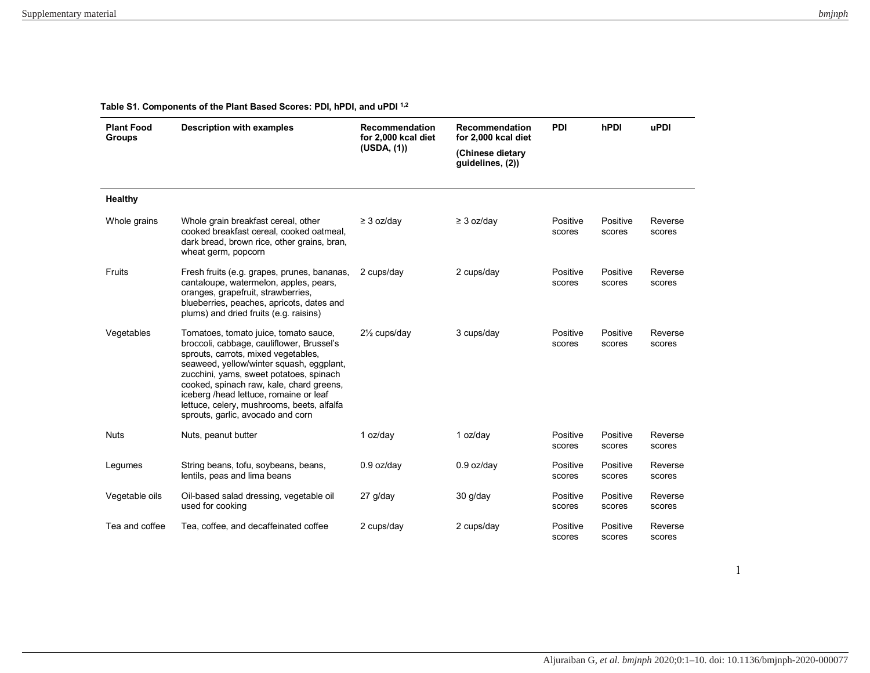**Table S1. Components of the Plant Based Scores: PDI, hPDI, and uPDI 1,2**

| <b>Plant Food</b><br><b>Groups</b> | <b>Description with examples</b>                                                                                                                                                                                                                                                                                                                                                          | Recommendation<br>for 2,000 kcal diet<br>(USDA, (1)) | Recommendation<br>for 2,000 kcal diet<br>(Chinese dietary<br>quidelines, (2)) | <b>PDI</b>         | hPDI               | <b>uPDI</b>       |
|------------------------------------|-------------------------------------------------------------------------------------------------------------------------------------------------------------------------------------------------------------------------------------------------------------------------------------------------------------------------------------------------------------------------------------------|------------------------------------------------------|-------------------------------------------------------------------------------|--------------------|--------------------|-------------------|
| <b>Healthy</b>                     |                                                                                                                                                                                                                                                                                                                                                                                           |                                                      |                                                                               |                    |                    |                   |
| Whole grains                       | Whole grain breakfast cereal, other<br>cooked breakfast cereal, cooked oatmeal,<br>dark bread, brown rice, other grains, bran,<br>wheat germ, popcorn                                                                                                                                                                                                                                     | $\geq$ 3 oz/day                                      | $\geq$ 3 oz/day                                                               | Positive<br>scores | Positive<br>scores | Reverse<br>scores |
| Fruits                             | Fresh fruits (e.g. grapes, prunes, bananas,<br>cantaloupe, watermelon, apples, pears,<br>oranges, grapefruit, strawberries,<br>blueberries, peaches, apricots, dates and<br>plums) and dried fruits (e.g. raisins)                                                                                                                                                                        | 2 cups/day                                           | 2 cups/day                                                                    | Positive<br>scores | Positive<br>scores | Reverse<br>scores |
| Vegetables                         | Tomatoes, tomato juice, tomato sauce,<br>broccoli, cabbage, cauliflower, Brussel's<br>sprouts, carrots, mixed vegetables,<br>seaweed, yellow/winter squash, eggplant,<br>zucchini, yams, sweet potatoes, spinach<br>cooked, spinach raw, kale, chard greens,<br>iceberg /head lettuce, romaine or leaf<br>lettuce, celery, mushrooms, beets, alfalfa<br>sprouts, garlic, avocado and corn | 21/ <sub>2</sub> cups/day                            | 3 cups/day                                                                    | Positive<br>scores | Positive<br>scores | Reverse<br>scores |
| <b>Nuts</b>                        | Nuts, peanut butter                                                                                                                                                                                                                                                                                                                                                                       | 1 oz/day                                             | 1 oz/day                                                                      | Positive<br>scores | Positive<br>scores | Reverse<br>scores |
| Legumes                            | String beans, tofu, soybeans, beans,<br>lentils, peas and lima beans                                                                                                                                                                                                                                                                                                                      | $0.9$ oz/day                                         | $0.9$ oz/day                                                                  | Positive<br>scores | Positive<br>scores | Reverse<br>scores |
| Vegetable oils                     | Oil-based salad dressing, vegetable oil<br>used for cooking                                                                                                                                                                                                                                                                                                                               | 27 g/day                                             | $30$ g/day                                                                    | Positive<br>scores | Positive<br>scores | Reverse<br>scores |
| Tea and coffee                     | Tea, coffee, and decaffeinated coffee                                                                                                                                                                                                                                                                                                                                                     | 2 cups/day                                           | 2 cups/day                                                                    | Positive<br>scores | Positive<br>scores | Reverse<br>scores |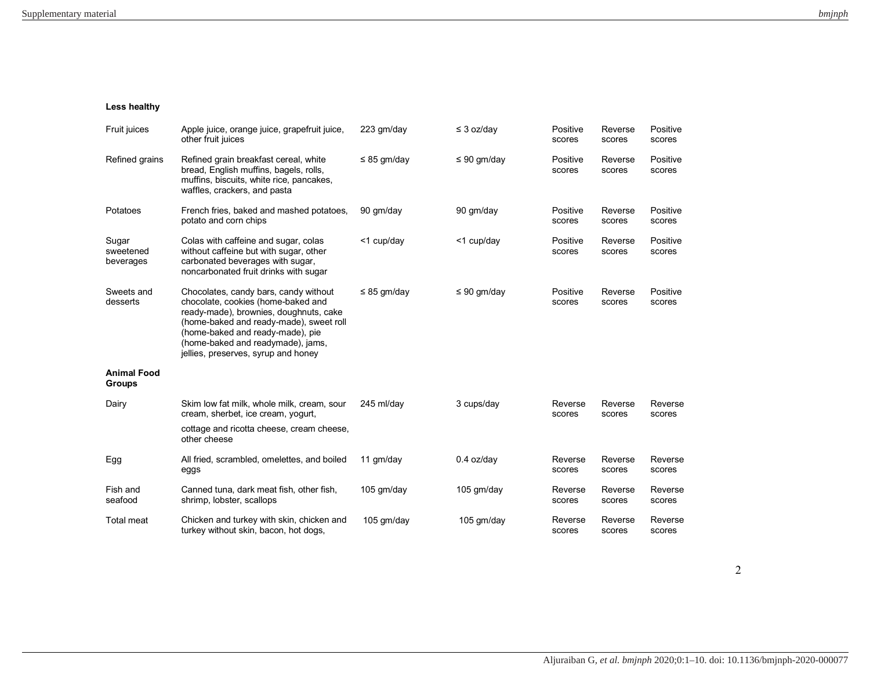## **Less healthy**

| Fruit juices                        | Apple juice, orange juice, grapefruit juice,<br>other fruit juices                                                                                                                                                                                                               | 223 gm/day       | $\leq$ 3 oz/day  | Positive<br>scores | Reverse<br>scores | Positive<br>scores |
|-------------------------------------|----------------------------------------------------------------------------------------------------------------------------------------------------------------------------------------------------------------------------------------------------------------------------------|------------------|------------------|--------------------|-------------------|--------------------|
| Refined grains                      | Refined grain breakfast cereal, white<br>bread, English muffins, bagels, rolls,<br>muffins, biscuits, white rice, pancakes,<br>waffles, crackers, and pasta                                                                                                                      | $\leq$ 85 gm/day | $\leq 90$ gm/day | Positive<br>scores | Reverse<br>scores | Positive<br>scores |
| Potatoes                            | French fries, baked and mashed potatoes,<br>potato and corn chips                                                                                                                                                                                                                | 90 gm/day        | 90 gm/day        | Positive<br>scores | Reverse<br>scores | Positive<br>scores |
| Sugar<br>sweetened<br>beverages     | Colas with caffeine and sugar, colas<br>without caffeine but with sugar, other<br>carbonated beverages with sugar,<br>noncarbonated fruit drinks with sugar                                                                                                                      | <1 cup/day       | <1 cup/day       | Positive<br>scores | Reverse<br>scores | Positive<br>scores |
| Sweets and<br>desserts              | Chocolates, candy bars, candy without<br>chocolate, cookies (home-baked and<br>ready-made), brownies, doughnuts, cake<br>(home-baked and ready-made), sweet roll<br>(home-baked and ready-made), pie<br>(home-baked and readymade), jams,<br>jellies, preserves, syrup and honey | $\leq$ 85 gm/day | $\leq 90$ gm/day | Positive<br>scores | Reverse<br>scores | Positive<br>scores |
| <b>Animal Food</b><br><b>Groups</b> |                                                                                                                                                                                                                                                                                  |                  |                  |                    |                   |                    |
| Dairy                               | Skim low fat milk, whole milk, cream, sour<br>cream, sherbet, ice cream, yogurt,<br>cottage and ricotta cheese, cream cheese,<br>other cheese                                                                                                                                    | 245 ml/day       | 3 cups/day       | Reverse<br>scores  | Reverse<br>scores | Reverse<br>scores  |
| Egg                                 | All fried, scrambled, omelettes, and boiled<br>eggs                                                                                                                                                                                                                              | 11 gm/day        | $0.4$ oz/day     | Reverse<br>scores  | Reverse<br>scores | Reverse<br>scores  |
| Fish and<br>seafood                 | Canned tuna, dark meat fish, other fish,<br>shrimp, lobster, scallops                                                                                                                                                                                                            | 105 gm/day       | 105 gm/day       | Reverse<br>scores  | Reverse<br>scores | Reverse<br>scores  |
| <b>Total meat</b>                   | Chicken and turkey with skin, chicken and<br>turkey without skin, bacon, hot dogs,                                                                                                                                                                                               | 105 gm/day       | 105 gm/day       | Reverse<br>scores  | Reverse<br>scores | Reverse<br>scores  |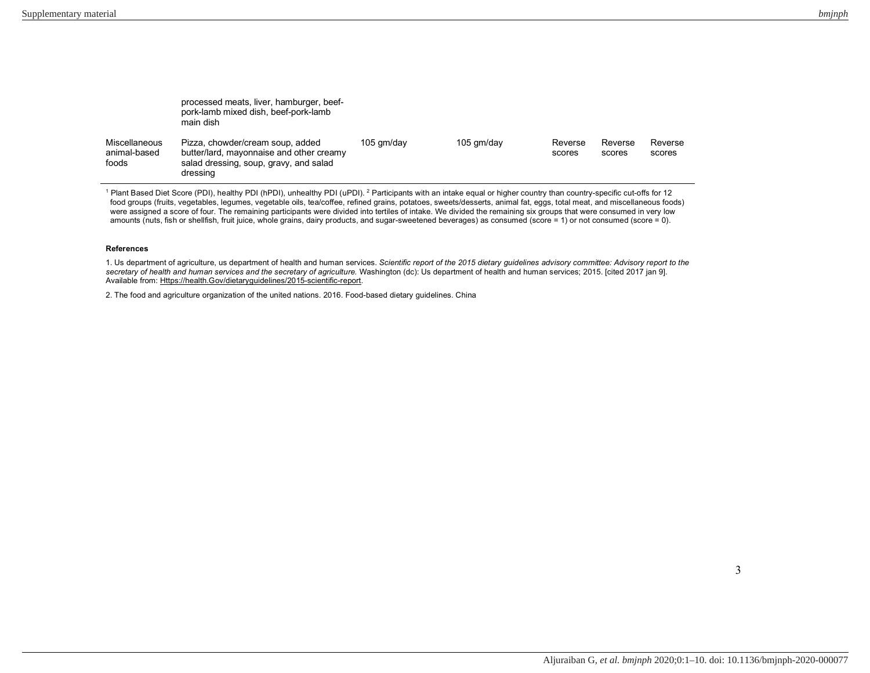|                                        | processed meats, liver, hamburger, beef-<br>pork-lamb mixed dish, beef-pork-lamb<br>main dish                                      |            |            |                   |                   |                   |
|----------------------------------------|------------------------------------------------------------------------------------------------------------------------------------|------------|------------|-------------------|-------------------|-------------------|
| Miscellaneous<br>animal-based<br>foods | Pizza, chowder/cream soup, added<br>butter/lard, mayonnaise and other creamy<br>salad dressing, soup, gravy, and salad<br>dressing | 105 gm/day | 105 gm/day | Reverse<br>scores | Reverse<br>scores | Reverse<br>scores |

<sup>1</sup> Plant Based Diet Score (PDI), healthy PDI (hPDI), unhealthy PDI (uPDI). <sup>2</sup> Participants with an intake equal or higher country than country-specific cut-offs for 12 food groups (fruits, vegetables, legumes, vegetable oils, tea/coffee, refined grains, potatoes, sweets/desserts, animal fat, eggs, total meat, and miscellaneous foods) were assigned a score of four. The remaining participants were divided into tertiles of intake. We divided the remaining six groups that were consumed in very low amounts (nuts, fish or shellfish, fruit juice, whole grains, dairy products, and sugar-sweetened beverages) as consumed (score = 1) or not consumed (score = 0).

## **References**

1. Us department of agriculture, us department of health and human services. *Scientific report of the 2015 dietary guidelines advisory committee: Advisory report to the secretary of health and human services and the secretary of agriculture.* Washington (dc): Us department of health and human services; 2015. [cited 2017 jan 9]. Available from: Https://health.Gov/dietaryguidelines/2015-scientific-report.

2. The food and agriculture organization of the united nations. 2016. Food-based dietary guidelines. China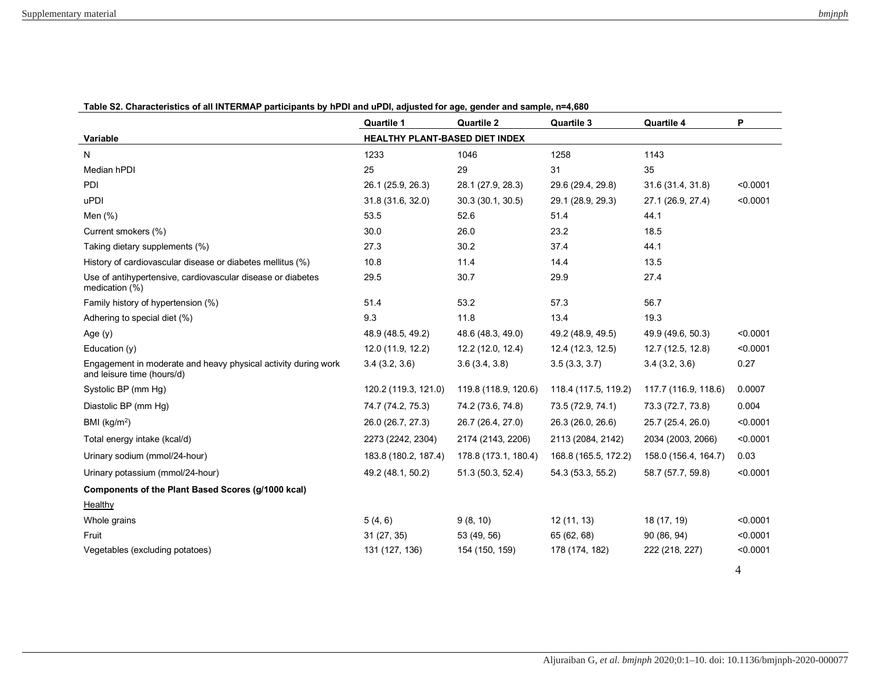|                                                                                              | <b>Quartile 1</b>              | <b>Quartile 2</b>    | <b>Quartile 3</b>    | <b>Quartile 4</b>    | P        |
|----------------------------------------------------------------------------------------------|--------------------------------|----------------------|----------------------|----------------------|----------|
| Variable                                                                                     | HEALTHY PLANT-BASED DIET INDEX |                      |                      |                      |          |
| N                                                                                            | 1233                           | 1046                 | 1258                 | 1143                 |          |
| Median hPDI                                                                                  | 25                             | 29                   | 31                   | 35                   |          |
| PDI                                                                                          | 26.1 (25.9, 26.3)              | 28.1 (27.9, 28.3)    | 29.6 (29.4, 29.8)    | 31.6 (31.4, 31.8)    | < 0.0001 |
| uPDI                                                                                         | 31.8 (31.6, 32.0)              | 30.3 (30.1, 30.5)    | 29.1 (28.9, 29.3)    | 27.1 (26.9, 27.4)    | < 0.0001 |
| Men $(\%)$                                                                                   | 53.5                           | 52.6                 | 51.4                 | 44.1                 |          |
| Current smokers (%)                                                                          | 30.0                           | 26.0                 | 23.2                 | 18.5                 |          |
| Taking dietary supplements (%)                                                               | 27.3                           | 30.2                 | 37.4                 | 44.1                 |          |
| History of cardiovascular disease or diabetes mellitus (%)                                   | 10.8                           | 11.4                 | 14.4                 | 13.5                 |          |
| Use of antihypertensive, cardiovascular disease or diabetes<br>medication (%)                | 29.5                           | 30.7                 | 29.9                 | 27.4                 |          |
| Family history of hypertension (%)                                                           | 51.4                           | 53.2                 | 57.3                 | 56.7                 |          |
| Adhering to special diet (%)                                                                 | 9.3                            | 11.8                 | 13.4                 | 19.3                 |          |
| Age $(y)$                                                                                    | 48.9 (48.5, 49.2)              | 48.6 (48.3, 49.0)    | 49.2 (48.9, 49.5)    | 49.9 (49.6, 50.3)    | < 0.0001 |
| Education (y)                                                                                | 12.0 (11.9, 12.2)              | 12.2 (12.0, 12.4)    | 12.4 (12.3, 12.5)    | 12.7 (12.5, 12.8)    | < 0.0001 |
| Engagement in moderate and heavy physical activity during work<br>and leisure time (hours/d) | 3.4(3.2, 3.6)                  | 3.6(3.4, 3.8)        | 3.5(3.3, 3.7)        | 3.4(3.2, 3.6)        | 0.27     |
| Systolic BP (mm Hg)                                                                          | 120.2 (119.3, 121.0)           | 119.8 (118.9, 120.6) | 118.4 (117.5, 119.2) | 117.7 (116.9, 118.6) | 0.0007   |
| Diastolic BP (mm Hg)                                                                         | 74.7 (74.2, 75.3)              | 74.2 (73.6, 74.8)    | 73.5 (72.9, 74.1)    | 73.3 (72.7, 73.8)    | 0.004    |
| BMI ( $kg/m2$ )                                                                              | 26.0 (26.7, 27.3)              | 26.7 (26.4, 27.0)    | 26.3 (26.0, 26.6)    | 25.7 (25.4, 26.0)    | < 0.0001 |
| Total energy intake (kcal/d)                                                                 | 2273 (2242, 2304)              | 2174 (2143, 2206)    | 2113 (2084, 2142)    | 2034 (2003, 2066)    | < 0.0001 |
| Urinary sodium (mmol/24-hour)                                                                | 183.8 (180.2, 187.4)           | 178.8 (173.1, 180.4) | 168.8 (165.5, 172.2) | 158.0 (156.4, 164.7) | 0.03     |
| Urinary potassium (mmol/24-hour)                                                             | 49.2 (48.1, 50.2)              | 51.3 (50.3, 52.4)    | 54.3 (53.3, 55.2)    | 58.7 (57.7, 59.8)    | < 0.0001 |
| Components of the Plant Based Scores (g/1000 kcal)                                           |                                |                      |                      |                      |          |
| Healthy                                                                                      |                                |                      |                      |                      |          |
| Whole grains                                                                                 | 5(4, 6)                        | 9(8, 10)             | 12 (11, 13)          | 18 (17, 19)          | < 0.0001 |
| Fruit                                                                                        | 31 (27, 35)                    | 53 (49, 56)          | 65 (62, 68)          | 90 (86, 94)          | < 0.0001 |
| Vegetables (excluding potatoes)                                                              | 131 (127, 136)                 | 154 (150, 159)       | 178 (174, 182)       | 222 (218, 227)       | < 0.0001 |
|                                                                                              |                                |                      |                      |                      | 4        |

## **Table S2. Characteristics of all INTERMAP participants by hPDI and uPDI, adjusted for age, gender and sample, n=4,680**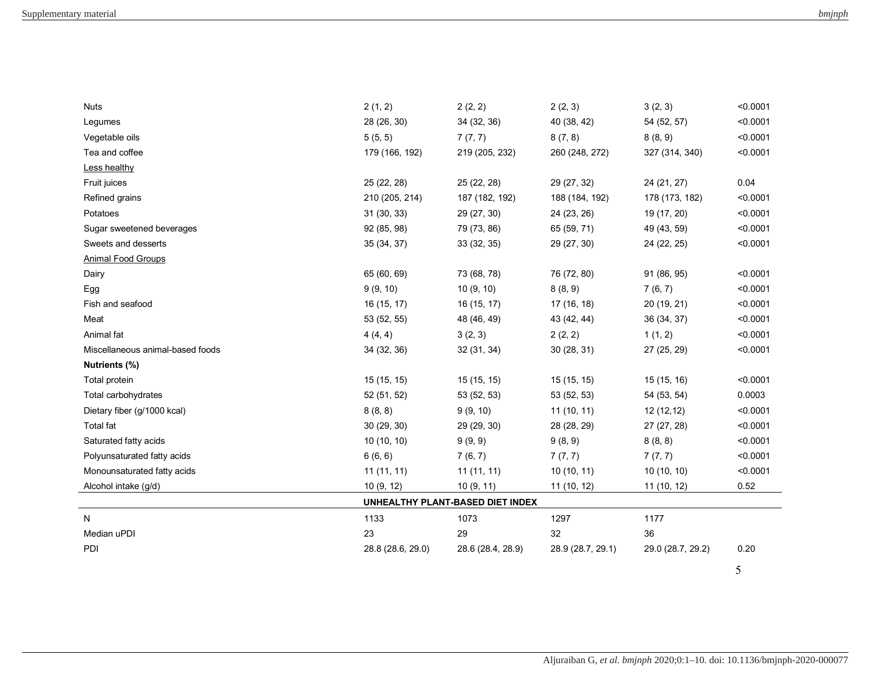| <b>Nuts</b>                      | 2(1, 2)           | 2(2, 2)                          | 2(2, 3)           | 3(2, 3)           | < 0.0001 |
|----------------------------------|-------------------|----------------------------------|-------------------|-------------------|----------|
| Legumes                          | 28 (26, 30)       | 34 (32, 36)                      | 40 (38, 42)       | 54 (52, 57)       | < 0.0001 |
| Vegetable oils                   | 5(5, 5)           | 7(7, 7)                          | 8(7, 8)           | 8(8, 9)           | < 0.0001 |
| Tea and coffee                   | 179 (166, 192)    | 219 (205, 232)                   | 260 (248, 272)    | 327 (314, 340)    | < 0.0001 |
| Less healthy                     |                   |                                  |                   |                   |          |
| Fruit juices                     | 25 (22, 28)       | 25 (22, 28)                      | 29 (27, 32)       | 24 (21, 27)       | 0.04     |
| Refined grains                   | 210 (205, 214)    | 187 (182, 192)                   | 188 (184, 192)    | 178 (173, 182)    | < 0.0001 |
| Potatoes                         | 31 (30, 33)       | 29 (27, 30)                      | 24 (23, 26)       | 19 (17, 20)       | < 0.0001 |
| Sugar sweetened beverages        | 92 (85, 98)       | 79 (73, 86)                      | 65 (59, 71)       | 49 (43, 59)       | < 0.0001 |
| Sweets and desserts              | 35 (34, 37)       | 33 (32, 35)                      | 29 (27, 30)       | 24 (22, 25)       | < 0.0001 |
| Animal Food Groups               |                   |                                  |                   |                   |          |
| Dairy                            | 65 (60, 69)       | 73 (68, 78)                      | 76 (72, 80)       | 91 (86, 95)       | < 0.0001 |
| Egg                              | 9(9, 10)          | 10(9, 10)                        | 8(8, 9)           | 7(6, 7)           | < 0.0001 |
| Fish and seafood                 | 16 (15, 17)       | 16 (15, 17)                      | 17 (16, 18)       | 20 (19, 21)       | < 0.0001 |
| Meat                             | 53 (52, 55)       | 48 (46, 49)                      | 43 (42, 44)       | 36 (34, 37)       | < 0.0001 |
| Animal fat                       | 4(4, 4)           | 3(2, 3)                          | 2(2, 2)           | 1(1, 2)           | < 0.0001 |
| Miscellaneous animal-based foods | 34 (32, 36)       | 32(31, 34)                       | 30(28, 31)        | 27 (25, 29)       | < 0.0001 |
| Nutrients (%)                    |                   |                                  |                   |                   |          |
| Total protein                    | 15 (15, 15)       | 15 (15, 15)                      | 15 (15, 15)       | 15(15, 16)        | < 0.0001 |
| Total carbohydrates              | 52 (51, 52)       | 53 (52, 53)                      | 53 (52, 53)       | 54 (53, 54)       | 0.0003   |
| Dietary fiber (g/1000 kcal)      | 8(8, 8)           | 9(9, 10)                         | 11(10, 11)        | 12(12,12)         | < 0.0001 |
| Total fat                        | 30(29, 30)        | 29 (29, 30)                      | 28 (28, 29)       | 27 (27, 28)       | < 0.0001 |
| Saturated fatty acids            | 10(10, 10)        | 9(9, 9)                          | 9(8, 9)           | 8(8, 8)           | < 0.0001 |
| Polyunsaturated fatty acids      | 6(6, 6)           | 7(6, 7)                          | 7(7, 7)           | 7(7, 7)           | < 0.0001 |
| Monounsaturated fatty acids      | 11(11, 11)        | 11(11, 11)                       | 10(10, 11)        | 10(10, 10)        | < 0.0001 |
| Alcohol intake (g/d)             | 10 (9, 12)        | 10 $(9, 11)$                     | 11 (10, 12)       | 11 (10, 12)       | 0.52     |
|                                  |                   | UNHEALTHY PLANT-BASED DIET INDEX |                   |                   |          |
| N                                | 1133              | 1073                             | 1297              | 1177              |          |
| Median uPDI                      | 23                | 29                               | 32                | 36                |          |
| PDI                              | 28.8 (28.6, 29.0) | 28.6 (28.4, 28.9)                | 28.9 (28.7, 29.1) | 29.0 (28.7, 29.2) | 0.20     |
|                                  |                   |                                  |                   |                   |          |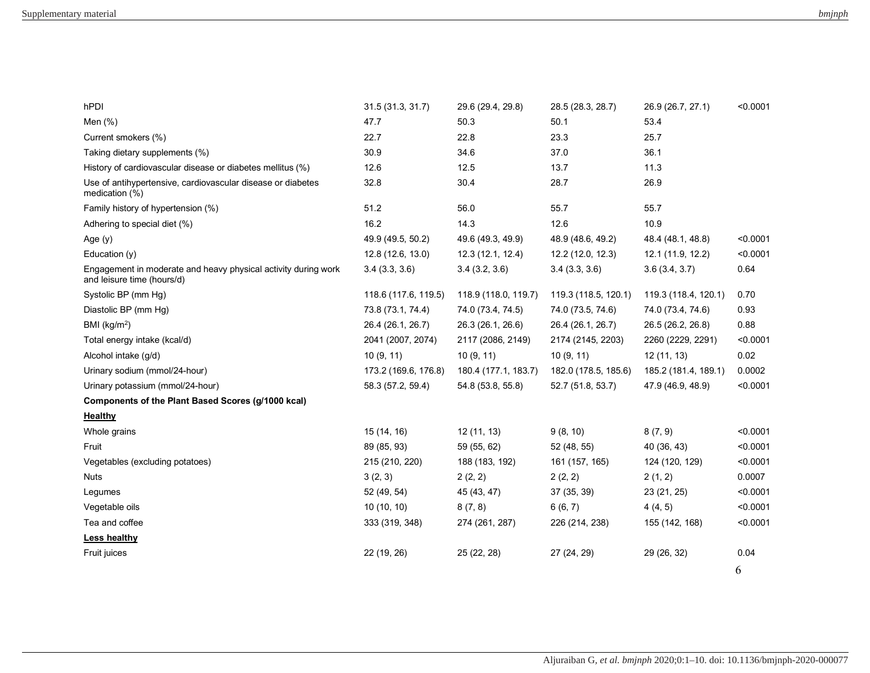| hPDI                                                                                         | 31.5 (31.3, 31.7)    | 29.6 (29.4, 29.8)    | 28.5 (28.3, 28.7)    | 26.9 (26.7, 27.1)    | < 0.0001 |
|----------------------------------------------------------------------------------------------|----------------------|----------------------|----------------------|----------------------|----------|
| Men (%)                                                                                      | 47.7                 | 50.3                 | 50.1                 | 53.4                 |          |
| Current smokers (%)                                                                          | 22.7                 | 22.8                 | 23.3                 | 25.7                 |          |
| Taking dietary supplements (%)                                                               | 30.9                 | 34.6                 | 37.0                 | 36.1                 |          |
| History of cardiovascular disease or diabetes mellitus (%)                                   | 12.6                 | 12.5                 | 13.7                 | 11.3                 |          |
| Use of antihypertensive, cardiovascular disease or diabetes<br>medication (%)                | 32.8                 | 30.4                 | 28.7                 | 26.9                 |          |
| Family history of hypertension (%)                                                           | 51.2                 | 56.0                 | 55.7                 | 55.7                 |          |
| Adhering to special diet (%)                                                                 | 16.2                 | 14.3                 | 12.6                 | 10.9                 |          |
| Age $(y)$                                                                                    | 49.9 (49.5, 50.2)    | 49.6 (49.3, 49.9)    | 48.9 (48.6, 49.2)    | 48.4 (48.1, 48.8)    | < 0.0001 |
| Education (y)                                                                                | 12.8 (12.6, 13.0)    | 12.3 (12.1, 12.4)    | 12.2 (12.0, 12.3)    | 12.1 (11.9, 12.2)    | < 0.0001 |
| Engagement in moderate and heavy physical activity during work<br>and leisure time (hours/d) | 3.4(3.3, 3.6)        | 3.4(3.2, 3.6)        | 3.4(3.3, 3.6)        | 3.6(3.4, 3.7)        | 0.64     |
| Systolic BP (mm Hg)                                                                          | 118.6 (117.6, 119.5) | 118.9 (118.0, 119.7) | 119.3 (118.5, 120.1) | 119.3 (118.4, 120.1) | 0.70     |
| Diastolic BP (mm Hg)                                                                         | 73.8 (73.1, 74.4)    | 74.0 (73.4, 74.5)    | 74.0 (73.5, 74.6)    | 74.0 (73.4, 74.6)    | 0.93     |
| BMI ( $kg/m2$ )                                                                              | 26.4 (26.1, 26.7)    | 26.3 (26.1, 26.6)    | 26.4 (26.1, 26.7)    | 26.5 (26.2, 26.8)    | 0.88     |
| Total energy intake (kcal/d)                                                                 | 2041 (2007, 2074)    | 2117 (2086, 2149)    | 2174 (2145, 2203)    | 2260 (2229, 2291)    | < 0.0001 |
| Alcohol intake (g/d)                                                                         | 10(9, 11)            | 10(9, 11)            | 10(9, 11)            | 12 (11, 13)          | 0.02     |
| Urinary sodium (mmol/24-hour)                                                                | 173.2 (169.6, 176.8) | 180.4 (177.1, 183.7) | 182.0 (178.5, 185.6) | 185.2 (181.4, 189.1) | 0.0002   |
| Urinary potassium (mmol/24-hour)                                                             | 58.3 (57.2, 59.4)    | 54.8 (53.8, 55.8)    | 52.7 (51.8, 53.7)    | 47.9 (46.9, 48.9)    | < 0.0001 |
| Components of the Plant Based Scores (g/1000 kcal)                                           |                      |                      |                      |                      |          |
| <b>Healthy</b>                                                                               |                      |                      |                      |                      |          |
| Whole grains                                                                                 | 15 (14, 16)          | 12 (11, 13)          | 9(8, 10)             | 8(7, 9)              | < 0.0001 |
| Fruit                                                                                        | 89 (85, 93)          | 59 (55, 62)          | 52 (48, 55)          | 40 (36, 43)          | < 0.0001 |
| Vegetables (excluding potatoes)                                                              | 215 (210, 220)       | 188 (183, 192)       | 161 (157, 165)       | 124 (120, 129)       | < 0.0001 |
| <b>Nuts</b>                                                                                  | 3(2, 3)              | 2(2, 2)              | 2(2, 2)              | 2(1, 2)              | 0.0007   |
| Legumes                                                                                      | 52 (49, 54)          | 45 (43, 47)          | 37 (35, 39)          | 23 (21, 25)          | < 0.0001 |
| Vegetable oils                                                                               | 10(10, 10)           | 8(7, 8)              | 6(6, 7)              | 4(4, 5)              | < 0.0001 |
| Tea and coffee                                                                               | 333 (319, 348)       | 274 (261, 287)       | 226 (214, 238)       | 155 (142, 168)       | < 0.0001 |
| <b>Less healthy</b>                                                                          |                      |                      |                      |                      |          |
| Fruit juices                                                                                 | 22 (19, 26)          | 25 (22, 28)          | 27 (24, 29)          | 29 (26, 32)          | 0.04     |
|                                                                                              |                      |                      |                      |                      | 6        |
|                                                                                              |                      |                      |                      |                      |          |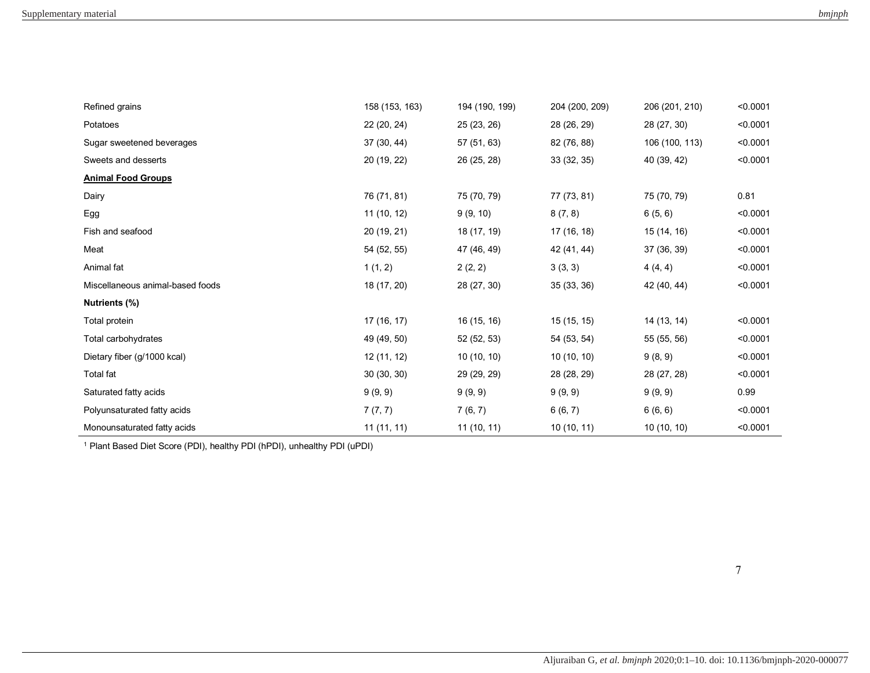| Refined grains                   | 158 (153, 163) | 194 (190, 199) | 204 (200, 209) | 206 (201, 210) | < 0.0001 |
|----------------------------------|----------------|----------------|----------------|----------------|----------|
| Potatoes                         | 22 (20, 24)    | 25 (23, 26)    | 28 (26, 29)    | 28 (27, 30)    | < 0.0001 |
| Sugar sweetened beverages        | 37 (30, 44)    | 57 (51, 63)    | 82 (76, 88)    | 106 (100, 113) | < 0.0001 |
| Sweets and desserts              | 20 (19, 22)    | 26 (25, 28)    | 33 (32, 35)    | 40 (39, 42)    | < 0.0001 |
| <b>Animal Food Groups</b>        |                |                |                |                |          |
| Dairy                            | 76 (71, 81)    | 75 (70, 79)    | 77 (73, 81)    | 75 (70, 79)    | 0.81     |
| Egg                              | 11 (10, 12)    | 9(9, 10)       | 8(7, 8)        | 6(5, 6)        | < 0.0001 |
| Fish and seafood                 | 20 (19, 21)    | 18 (17, 19)    | 17 (16, 18)    | 15 (14, 16)    | < 0.0001 |
| Meat                             | 54 (52, 55)    | 47 (46, 49)    | 42 (41, 44)    | 37 (36, 39)    | < 0.0001 |
| Animal fat                       | 1(1, 2)        | 2(2, 2)        | 3(3, 3)        | 4(4, 4)        | < 0.0001 |
| Miscellaneous animal-based foods | 18 (17, 20)    | 28 (27, 30)    | 35 (33, 36)    | 42 (40, 44)    | < 0.0001 |
| Nutrients (%)                    |                |                |                |                |          |
| Total protein                    | 17 (16, 17)    | 16 (15, 16)    | 15 (15, 15)    | 14 (13, 14)    | < 0.0001 |
| Total carbohydrates              | 49 (49, 50)    | 52 (52, 53)    | 54 (53, 54)    | 55 (55, 56)    | < 0.0001 |
| Dietary fiber (g/1000 kcal)      | 12 (11, 12)    | 10(10, 10)     | 10(10, 10)     | 9(8, 9)        | < 0.0001 |
| Total fat                        | 30 (30, 30)    | 29 (29, 29)    | 28 (28, 29)    | 28 (27, 28)    | < 0.0001 |
| Saturated fatty acids            | 9(9, 9)        | 9(9, 9)        | 9(9, 9)        | 9(9, 9)        | 0.99     |
| Polyunsaturated fatty acids      | 7(7, 7)        | 7(6, 7)        | 6(6, 7)        | 6(6, 6)        | < 0.0001 |
| Monounsaturated fatty acids      | 11(11, 11)     | 11 (10, 11)    | 10(10, 11)     | 10(10, 10)     | < 0.0001 |

<sup>1</sup> Plant Based Diet Score (PDI), healthy PDI (hPDI), unhealthy PDI (uPDI)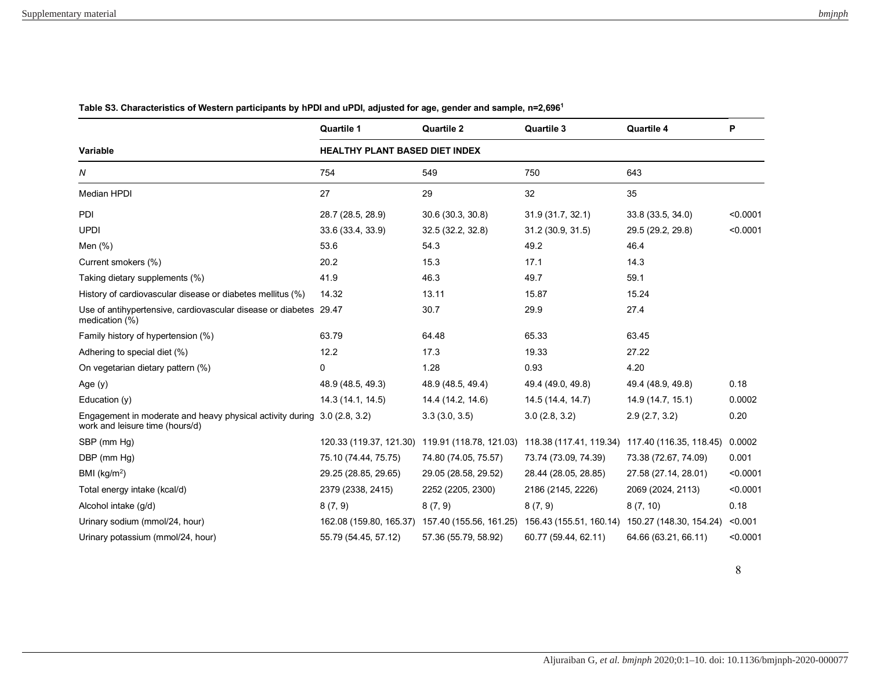|                                                                                                             | <b>Quartile 1</b>                     | <b>Quartile 2</b>                                                                               | <b>Quartile 3</b>    | Quartile 4                                      | P        |  |  |
|-------------------------------------------------------------------------------------------------------------|---------------------------------------|-------------------------------------------------------------------------------------------------|----------------------|-------------------------------------------------|----------|--|--|
| Variable                                                                                                    | <b>HEALTHY PLANT BASED DIET INDEX</b> |                                                                                                 |                      |                                                 |          |  |  |
| N                                                                                                           | 754                                   | 549                                                                                             | 750                  | 643                                             |          |  |  |
| <b>Median HPDI</b>                                                                                          | 27                                    | 29                                                                                              | 32                   | 35                                              |          |  |  |
| <b>PDI</b>                                                                                                  | 28.7 (28.5, 28.9)                     | 30.6 (30.3, 30.8)                                                                               | 31.9 (31.7, 32.1)    | 33.8 (33.5, 34.0)                               | < 0.0001 |  |  |
| <b>UPDI</b>                                                                                                 | 33.6 (33.4, 33.9)                     | 32.5 (32.2, 32.8)                                                                               | 31.2 (30.9, 31.5)    | 29.5 (29.2, 29.8)                               | < 0.0001 |  |  |
| Men $(\%)$                                                                                                  | 53.6                                  | 54.3                                                                                            | 49.2                 | 46.4                                            |          |  |  |
| Current smokers (%)                                                                                         | 20.2                                  | 15.3                                                                                            | 17.1                 | 14.3                                            |          |  |  |
| Taking dietary supplements (%)                                                                              | 41.9                                  | 46.3                                                                                            | 49.7                 | 59.1                                            |          |  |  |
| History of cardiovascular disease or diabetes mellitus (%)                                                  | 14.32                                 | 13.11                                                                                           | 15.87                | 15.24                                           |          |  |  |
| Use of antihypertensive, cardiovascular disease or diabetes 29.47<br>medication (%)                         |                                       | 30.7                                                                                            | 29.9                 | 27.4                                            |          |  |  |
| Family history of hypertension (%)                                                                          | 63.79                                 | 64.48                                                                                           | 65.33                | 63.45                                           |          |  |  |
| Adhering to special diet (%)                                                                                | 12.2                                  | 17.3                                                                                            | 19.33                | 27.22                                           |          |  |  |
| On vegetarian dietary pattern (%)                                                                           | 0                                     | 1.28                                                                                            | 0.93                 | 4.20                                            |          |  |  |
| Age $(y)$                                                                                                   | 48.9 (48.5, 49.3)                     | 48.9 (48.5, 49.4)                                                                               | 49.4 (49.0, 49.8)    | 49.4 (48.9, 49.8)                               | 0.18     |  |  |
| Education (y)                                                                                               | 14.3 (14.1, 14.5)                     | 14.4 (14.2, 14.6)                                                                               | 14.5 (14.4, 14.7)    | 14.9 (14.7, 15.1)                               | 0.0002   |  |  |
| Engagement in moderate and heavy physical activity during 3.0 (2.8, 3.2)<br>work and leisure time (hours/d) |                                       | 3.3(3.0, 3.5)                                                                                   | 3.0(2.8, 3.2)        | 2.9(2.7, 3.2)                                   | 0.20     |  |  |
| SBP (mm Hg)                                                                                                 |                                       | 120.33 (119.37, 121.30) 119.91 (118.78, 121.03)                                                 |                      | 118.38 (117.41, 119.34) 117.40 (116.35, 118.45) | 0.0002   |  |  |
| DBP (mm Hg)                                                                                                 | 75.10 (74.44, 75.75)                  | 74.80 (74.05, 75.57)                                                                            | 73.74 (73.09, 74.39) | 73.38 (72.67, 74.09)                            | 0.001    |  |  |
| BMI $(kg/m2)$                                                                                               | 29.25 (28.85, 29.65)                  | 29.05 (28.58, 29.52)                                                                            | 28.44 (28.05, 28.85) | 27.58 (27.14, 28.01)                            | < 0.0001 |  |  |
| Total energy intake (kcal/d)                                                                                | 2379 (2338, 2415)                     | 2252 (2205, 2300)                                                                               | 2186 (2145, 2226)    | 2069 (2024, 2113)                               | < 0.0001 |  |  |
| Alcohol intake (g/d)                                                                                        | 8(7, 9)                               | 8(7, 9)                                                                                         | 8(7, 9)              | 8(7, 10)                                        | 0.18     |  |  |
| Urinary sodium (mmol/24, hour)                                                                              |                                       | 162.08 (159.80, 165.37) 157.40 (155.56, 161.25) 156.43 (155.51, 160.14) 150.27 (148.30, 154.24) |                      |                                                 | < 0.001  |  |  |
| Urinary potassium (mmol/24, hour)                                                                           | 55.79 (54.45, 57.12)                  | 57.36 (55.79, 58.92)                                                                            | 60.77 (59.44, 62.11) | 64.66 (63.21, 66.11)                            | < 0.0001 |  |  |

**Table S3. Characteristics of Western participants by hPDI and uPDI, adjusted for age, gender and sample, n=2,696<sup>1</sup>**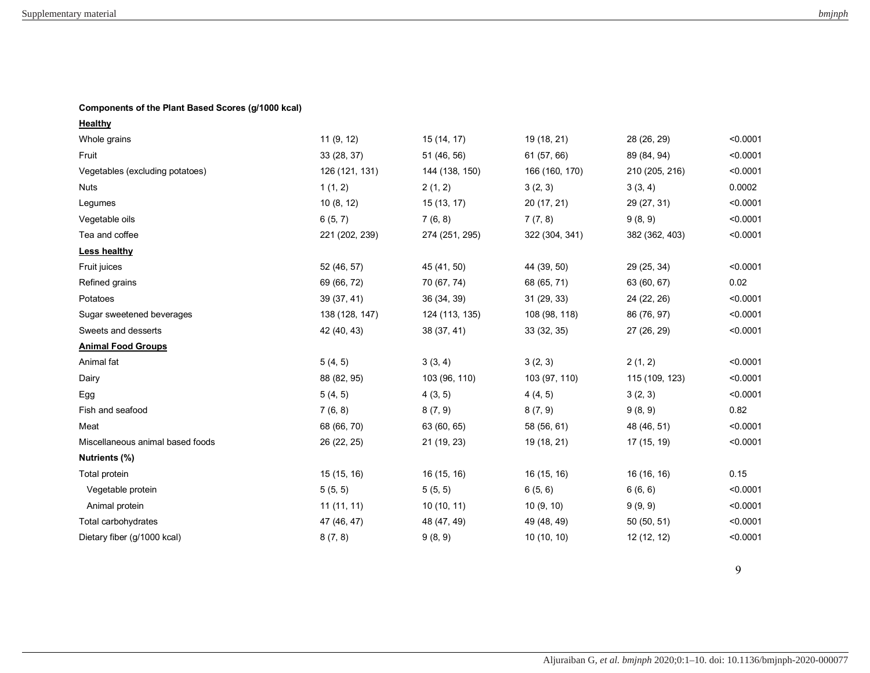## **Components of the Plant Based Scores (g/1000 kcal)**

| Healthy                          |                |                |                |                |          |
|----------------------------------|----------------|----------------|----------------|----------------|----------|
| Whole grains                     | 11(9, 12)      | 15 (14, 17)    | 19 (18, 21)    | 28 (26, 29)    | < 0.0001 |
| Fruit                            | 33 (28, 37)    | 51 (46, 56)    | 61 (57, 66)    | 89 (84, 94)    | < 0.0001 |
| Vegetables (excluding potatoes)  | 126 (121, 131) | 144 (138, 150) | 166 (160, 170) | 210 (205, 216) | < 0.0001 |
| <b>Nuts</b>                      | 1(1, 2)        | 2(1, 2)        | 3(2, 3)        | 3(3, 4)        | 0.0002   |
| Legumes                          | 10(8, 12)      | 15(13, 17)     | 20 (17, 21)    | 29 (27, 31)    | < 0.0001 |
| Vegetable oils                   | 6(5, 7)        | 7(6, 8)        | 7(7, 8)        | 9(8, 9)        | < 0.0001 |
| Tea and coffee                   | 221 (202, 239) | 274 (251, 295) | 322 (304, 341) | 382 (362, 403) | < 0.0001 |
| <b>Less healthy</b>              |                |                |                |                |          |
| Fruit juices                     | 52 (46, 57)    | 45 (41, 50)    | 44 (39, 50)    | 29 (25, 34)    | < 0.0001 |
| Refined grains                   | 69 (66, 72)    | 70 (67, 74)    | 68 (65, 71)    | 63 (60, 67)    | 0.02     |
| Potatoes                         | 39 (37, 41)    | 36 (34, 39)    | 31(29, 33)     | 24 (22, 26)    | < 0.0001 |
| Sugar sweetened beverages        | 138 (128, 147) | 124 (113, 135) | 108 (98, 118)  | 86 (76, 97)    | < 0.0001 |
| Sweets and desserts              | 42 (40, 43)    | 38 (37, 41)    | 33 (32, 35)    | 27 (26, 29)    | < 0.0001 |
| <b>Animal Food Groups</b>        |                |                |                |                |          |
| Animal fat                       | 5(4, 5)        | 3(3, 4)        | 3(2, 3)        | 2(1, 2)        | < 0.0001 |
| Dairy                            | 88 (82, 95)    | 103 (96, 110)  | 103 (97, 110)  | 115 (109, 123) | < 0.0001 |
| Egg                              | 5(4, 5)        | 4(3, 5)        | 4(4, 5)        | 3(2, 3)        | < 0.0001 |
| Fish and seafood                 | 7(6, 8)        | 8(7, 9)        | 8(7, 9)        | 9(8, 9)        | 0.82     |
| Meat                             | 68 (66, 70)    | 63 (60, 65)    | 58 (56, 61)    | 48 (46, 51)    | < 0.0001 |
| Miscellaneous animal based foods | 26 (22, 25)    | 21 (19, 23)    | 19 (18, 21)    | 17 (15, 19)    | < 0.0001 |
| Nutrients (%)                    |                |                |                |                |          |
| Total protein                    | 15 (15, 16)    | 16 (15, 16)    | 16 (15, 16)    | 16 (16, 16)    | 0.15     |
| Vegetable protein                | 5(5, 5)        | 5(5, 5)        | 6(5, 6)        | 6(6, 6)        | < 0.0001 |
| Animal protein                   | 11(11, 11)     | 10(10, 11)     | 10(9, 10)      | 9(9, 9)        | < 0.0001 |
| Total carbohydrates              | 47 (46, 47)    | 48 (47, 49)    | 49 (48, 49)    | 50 (50, 51)    | < 0.0001 |
| Dietary fiber (g/1000 kcal)      | 8(7, 8)        | 9(8, 9)        | 10 (10, 10)    | 12 (12, 12)    | < 0.0001 |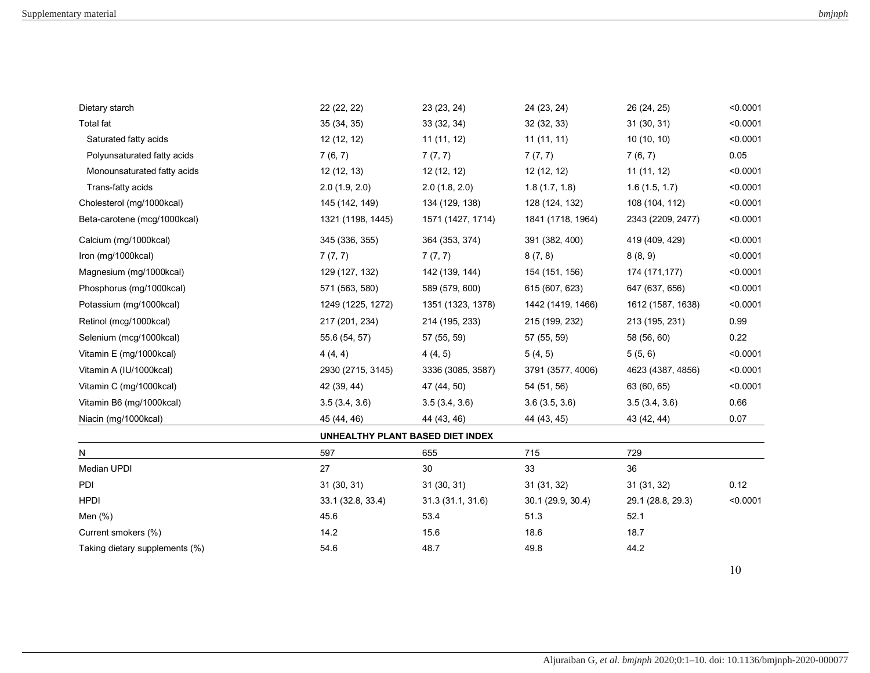|                   |                   |                                                 |                   | < 0.0001    |
|-------------------|-------------------|-------------------------------------------------|-------------------|-------------|
| 35 (34, 35)       | 33 (32, 34)       | 32 (32, 33)                                     | 31(30, 31)        | < 0.0001    |
| 12(12, 12)        | 11(11, 12)        | 11(11, 11)                                      | 10(10, 10)        | < 0.0001    |
| 7(6, 7)           | 7(7, 7)           | 7(7, 7)                                         | 7(6, 7)           | 0.05        |
| 12(12, 13)        | 12 (12, 12)       | 12(12, 12)                                      | 11(11, 12)        | < 0.0001    |
| 2.0(1.9, 2.0)     | 2.0(1.8, 2.0)     | 1.8(1.7, 1.8)                                   | 1.6(1.5, 1.7)     | < 0.0001    |
| 145 (142, 149)    | 134 (129, 138)    | 128 (124, 132)                                  | 108 (104, 112)    | < 0.0001    |
| 1321 (1198, 1445) | 1571 (1427, 1714) | 1841 (1718, 1964)                               | 2343 (2209, 2477) | < 0.0001    |
| 345 (336, 355)    | 364 (353, 374)    | 391 (382, 400)                                  | 419 (409, 429)    | < 0.0001    |
| 7(7, 7)           | 7(7, 7)           | 8(7, 8)                                         | 8(8, 9)           | < 0.0001    |
| 129 (127, 132)    | 142 (139, 144)    | 154 (151, 156)                                  | 174 (171,177)     | < 0.0001    |
| 571 (563, 580)    | 589 (579, 600)    | 615 (607, 623)                                  | 647 (637, 656)    | < 0.0001    |
| 1249 (1225, 1272) | 1351 (1323, 1378) | 1442 (1419, 1466)                               | 1612 (1587, 1638) | < 0.0001    |
| 217 (201, 234)    | 214 (195, 233)    | 215 (199, 232)                                  | 213 (195, 231)    | 0.99        |
| 55.6 (54, 57)     | 57 (55, 59)       | 57 (55, 59)                                     | 58 (56, 60)       | 0.22        |
| 4(4, 4)           | 4(4, 5)           | 5(4, 5)                                         | 5(5, 6)           | < 0.0001    |
| 2930 (2715, 3145) | 3336 (3085, 3587) | 3791 (3577, 4006)                               | 4623 (4387, 4856) | < 0.0001    |
| 42 (39, 44)       | 47 (44, 50)       | 54 (51, 56)                                     | 63 (60, 65)       | < 0.0001    |
| 3.5(3.4, 3.6)     | 3.5(3.4, 3.6)     | 3.6(3.5, 3.6)                                   | 3.5(3.4, 3.6)     | 0.66        |
| 45 (44, 46)       | 44 (43, 46)       | 44 (43, 45)                                     | 43 (42, 44)       | 0.07        |
|                   |                   |                                                 |                   |             |
| 597               | 655               | 715                                             | 729               |             |
| 27                | 30                | 33                                              | 36                |             |
| 31 (30, 31)       | 31(30, 31)        | 31 (31, 32)                                     | 31(31, 32)        | 0.12        |
| 33.1 (32.8, 33.4) | 31.3 (31.1, 31.6) | 30.1 (29.9, 30.4)                               | 29.1 (28.8, 29.3) | < 0.0001    |
| 45.6              | 53.4              | 51.3                                            | 52.1              |             |
| 14.2              | 15.6              | 18.6                                            | 18.7              |             |
| 54.6              | 48.7              | 49.8                                            | 44.2              |             |
|                   | 22 (22, 22)       | 23 (23, 24)<br>UNHEALTHY PLANT BASED DIET INDEX | 24 (23, 24)       | 26 (24, 25) |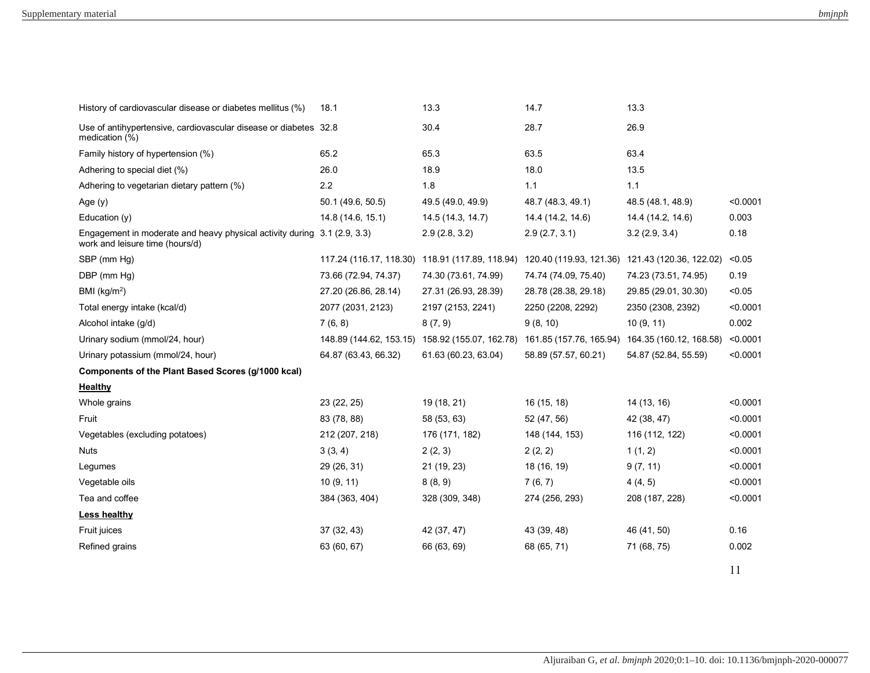| History of cardiovascular disease or diabetes mellitus (%)                                   | 18.1                    | 13.3                                            | 14.7                 | 13.3                                            |          |
|----------------------------------------------------------------------------------------------|-------------------------|-------------------------------------------------|----------------------|-------------------------------------------------|----------|
| Use of antihypertensive, cardiovascular disease or diabetes 32.8<br>medication (%)           |                         | 30.4                                            | 28.7                 | 26.9                                            |          |
| Family history of hypertension (%)                                                           | 65.2                    | 65.3                                            | 63.5                 | 63.4                                            |          |
| Adhering to special diet (%)                                                                 | 26.0                    | 18.9                                            | 18.0                 | 13.5                                            |          |
| Adhering to vegetarian dietary pattern (%)                                                   | 2.2                     | 1.8                                             | 1.1                  | 1.1                                             |          |
| Age $(y)$                                                                                    | 50.1 (49.6, 50.5)       | 49.5 (49.0, 49.9)                               | 48.7 (48.3, 49.1)    | 48.5 (48.1, 48.9)                               | < 0.0001 |
| Education $(y)$                                                                              | 14.8 (14.6, 15.1)       | 14.5 (14.3, 14.7)                               | 14.4 (14.2, 14.6)    | 14.4 (14.2, 14.6)                               | 0.003    |
| Engagement in moderate and heavy physical activity during<br>work and leisure time (hours/d) | 3.1(2.9, 3.3)           | 2.9(2.8, 3.2)                                   | 2.9(2.7, 3.1)        | 3.2(2.9, 3.4)                                   | 0.18     |
| SBP (mm Hg)                                                                                  |                         | 117.24 (116.17, 118.30) 118.91 (117.89, 118.94) |                      | 120.40 (119.93, 121.36) 121.43 (120.36, 122.02) | < 0.05   |
| DBP (mm Hg)                                                                                  | 73.66 (72.94, 74.37)    | 74.30 (73.61, 74.99)                            | 74.74 (74.09, 75.40) | 74.23 (73.51, 74.95)                            | 0.19     |
| BMI ( $kg/m2$ )                                                                              | 27.20 (26.86, 28.14)    | 27.31 (26.93, 28.39)                            | 28.78 (28.38, 29.18) | 29.85 (29.01, 30.30)                            | < 0.05   |
| Total energy intake (kcal/d)                                                                 | 2077 (2031, 2123)       | 2197 (2153, 2241)                               | 2250 (2208, 2292)    | 2350 (2308, 2392)                               | < 0.0001 |
| Alcohol intake (g/d)                                                                         | 7(6, 8)                 | 8(7, 9)                                         | 9(8, 10)             | 10(9, 11)                                       | 0.002    |
| Urinary sodium (mmol/24, hour)                                                               | 148.89 (144.62, 153.15) | 158.92 (155.07, 162.78)                         |                      | 161.85 (157.76, 165.94) 164.35 (160.12, 168.58) | < 0.0001 |
| Urinary potassium (mmol/24, hour)                                                            | 64.87 (63.43, 66.32)    | 61.63 (60.23, 63.04)                            | 58.89 (57.57, 60.21) | 54.87 (52.84, 55.59)                            | < 0.0001 |
| Components of the Plant Based Scores (g/1000 kcal)                                           |                         |                                                 |                      |                                                 |          |
| <b>Healthy</b>                                                                               |                         |                                                 |                      |                                                 |          |
| Whole grains                                                                                 | 23 (22, 25)             | 19 (18, 21)                                     | 16 (15, 18)          | 14 (13, 16)                                     | < 0.0001 |
| Fruit                                                                                        | 83 (78, 88)             | 58 (53, 63)                                     | 52 (47, 56)          | 42 (38, 47)                                     | < 0.0001 |
| Vegetables (excluding potatoes)                                                              | 212 (207, 218)          | 176 (171, 182)                                  | 148 (144, 153)       | 116 (112, 122)                                  | < 0.0001 |
| <b>Nuts</b>                                                                                  | 3(3, 4)                 | 2(2, 3)                                         | 2(2, 2)              | 1(1, 2)                                         | < 0.0001 |
| Legumes                                                                                      | 29 (26, 31)             | 21 (19, 23)                                     | 18 (16, 19)          | 9(7, 11)                                        | < 0.0001 |
| Vegetable oils                                                                               | 10(9, 11)               | 8(8, 9)                                         | 7(6, 7)              | 4(4, 5)                                         | < 0.0001 |
| Tea and coffee                                                                               | 384 (363, 404)          | 328 (309, 348)                                  | 274 (256, 293)       | 208 (187, 228)                                  | < 0.0001 |
| Less healthy                                                                                 |                         |                                                 |                      |                                                 |          |
| Fruit juices                                                                                 | 37 (32, 43)             | 42 (37, 47)                                     | 43 (39, 48)          | 46 (41, 50)                                     | 0.16     |
| Refined grains                                                                               | 63 (60, 67)             | 66 (63, 69)                                     | 68 (65, 71)          | 71 (68, 75)                                     | 0.002    |
|                                                                                              |                         |                                                 |                      |                                                 | 11       |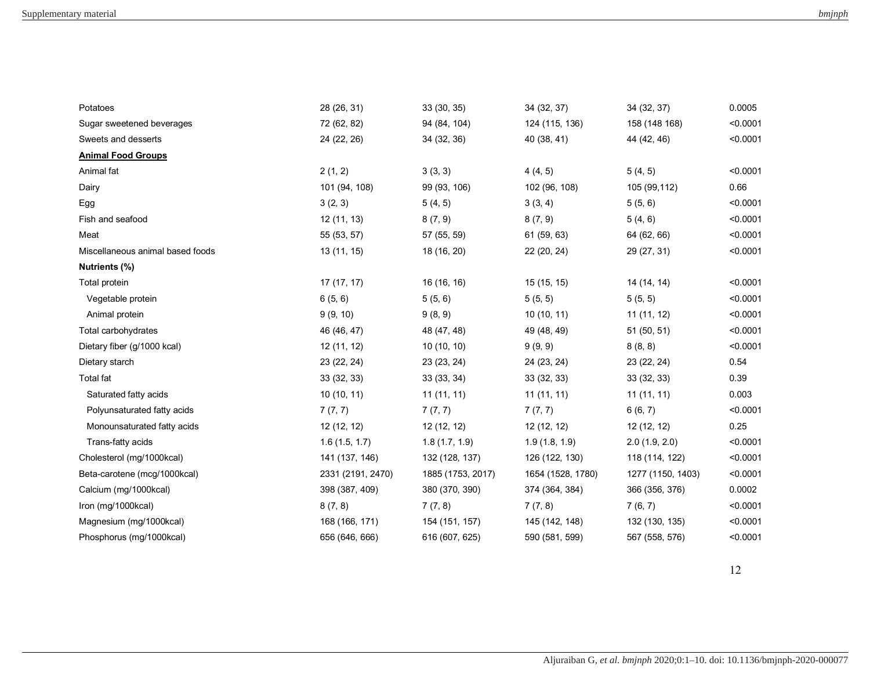| Potatoes                         | 28 (26, 31)       | 33 (30, 35)       | 34 (32, 37)       | 34 (32, 37)       | 0.0005   |
|----------------------------------|-------------------|-------------------|-------------------|-------------------|----------|
| Sugar sweetened beverages        | 72 (62, 82)       | 94 (84, 104)      | 124 (115, 136)    | 158 (148 168)     | < 0.0001 |
| Sweets and desserts              | 24 (22, 26)       | 34 (32, 36)       | 40 (38, 41)       | 44 (42, 46)       | < 0.0001 |
| <b>Animal Food Groups</b>        |                   |                   |                   |                   |          |
| Animal fat                       | 2(1, 2)           | 3(3, 3)           | 4(4, 5)           | 5(4, 5)           | < 0.0001 |
| Dairy                            | 101 (94, 108)     | 99 (93, 106)      | 102 (96, 108)     | 105 (99,112)      | 0.66     |
| Egg                              | 3(2, 3)           | 5(4, 5)           | 3(3, 4)           | 5(5, 6)           | < 0.0001 |
| Fish and seafood                 | 12 (11, 13)       | 8(7, 9)           | 8(7, 9)           | 5(4, 6)           | < 0.0001 |
| Meat                             | 55 (53, 57)       | 57 (55, 59)       | 61 (59, 63)       | 64 (62, 66)       | < 0.0001 |
| Miscellaneous animal based foods | 13 (11, 15)       | 18 (16, 20)       | 22 (20, 24)       | 29 (27, 31)       | < 0.0001 |
| Nutrients (%)                    |                   |                   |                   |                   |          |
| Total protein                    | 17 (17, 17)       | 16 (16, 16)       | 15 (15, 15)       | 14 (14, 14)       | < 0.0001 |
| Vegetable protein                | 6(5, 6)           | 5(5, 6)           | 5(5, 5)           | 5(5, 5)           | < 0.0001 |
| Animal protein                   | 9(9, 10)          | 9(8, 9)           | 10(10, 11)        | 11 (11, 12)       | < 0.0001 |
| Total carbohydrates              | 46 (46, 47)       | 48 (47, 48)       | 49 (48, 49)       | 51 (50, 51)       | < 0.0001 |
| Dietary fiber (g/1000 kcal)      | 12 (11, 12)       | 10(10, 10)        | 9(9, 9)           | 8(8, 8)           | < 0.0001 |
| Dietary starch                   | 23 (22, 24)       | 23 (23, 24)       | 24 (23, 24)       | 23 (22, 24)       | 0.54     |
| Total fat                        | 33 (32, 33)       | 33 (33, 34)       | 33 (32, 33)       | 33 (32, 33)       | 0.39     |
| Saturated fatty acids            | 10(10, 11)        | 11(11, 11)        | 11(11, 11)        | 11(11, 11)        | 0.003    |
| Polyunsaturated fatty acids      | 7(7, 7)           | 7(7, 7)           | 7(7, 7)           | 6(6, 7)           | < 0.0001 |
| Monounsaturated fatty acids      | 12 (12, 12)       | 12 (12, 12)       | 12 (12, 12)       | 12 (12, 12)       | 0.25     |
| Trans-fatty acids                | 1.6(1.5, 1.7)     | 1.8(1.7, 1.9)     | 1.9(1.8, 1.9)     | 2.0(1.9, 2.0)     | < 0.0001 |
| Cholesterol (mg/1000kcal)        | 141 (137, 146)    | 132 (128, 137)    | 126 (122, 130)    | 118 (114, 122)    | < 0.0001 |
| Beta-carotene (mcg/1000kcal)     | 2331 (2191, 2470) | 1885 (1753, 2017) | 1654 (1528, 1780) | 1277 (1150, 1403) | < 0.0001 |
| Calcium (mg/1000kcal)            | 398 (387, 409)    | 380 (370, 390)    | 374 (364, 384)    | 366 (356, 376)    | 0.0002   |
| Iron (mg/1000kcal)               | 8(7, 8)           | 7(7, 8)           | 7(7, 8)           | 7(6, 7)           | < 0.0001 |
| Magnesium (mg/1000kcal)          | 168 (166, 171)    | 154 (151, 157)    | 145 (142, 148)    | 132 (130, 135)    | < 0.0001 |
| Phosphorus (mg/1000kcal)         | 656 (646, 666)    | 616 (607, 625)    | 590 (581, 599)    | 567 (558, 576)    | < 0.0001 |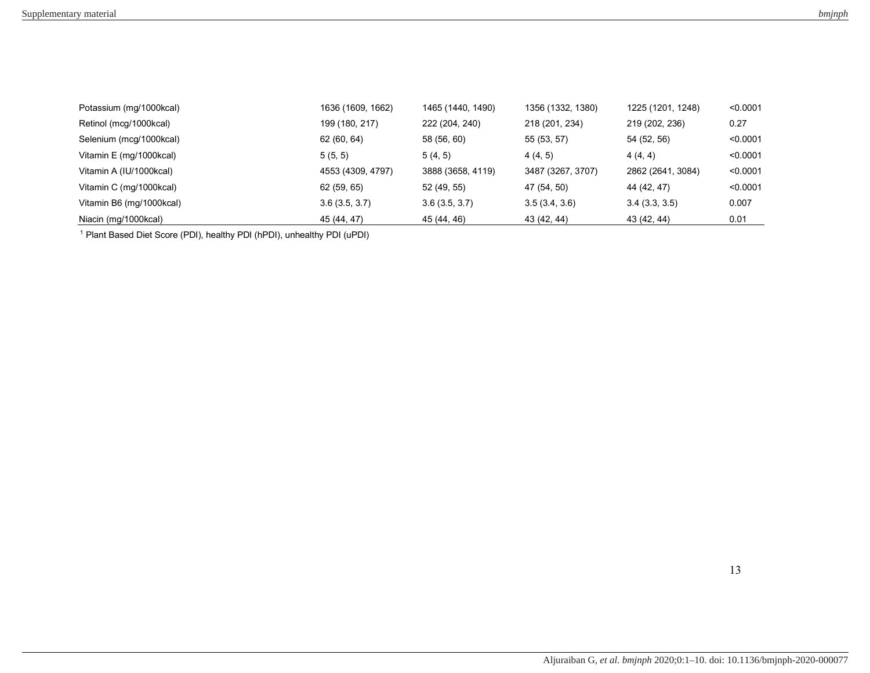| Potassium (mg/1000kcal)  | 1636 (1609, 1662) | 1465 (1440, 1490) | 1356 (1332, 1380) | 1225 (1201, 1248) | < 0.0001 |
|--------------------------|-------------------|-------------------|-------------------|-------------------|----------|
| Retinol (mcg/1000kcal)   | 199 (180, 217)    | 222 (204, 240)    | 218 (201, 234)    | 219 (202, 236)    | 0.27     |
| Selenium (mcg/1000kcal)  | 62 (60, 64)       | 58 (56, 60)       | 55 (53, 57)       | 54 (52, 56)       | < 0.0001 |
| Vitamin E (mg/1000kcal)  | 5(5, 5)           | 5(4, 5)           | 4(4, 5)           | 4(4, 4)           | < 0.0001 |
| Vitamin A (IU/1000kcal)  | 4553 (4309, 4797) | 3888 (3658, 4119) | 3487 (3267, 3707) | 2862 (2641, 3084) | < 0.0001 |
| Vitamin C (mg/1000kcal)  | 62(59, 65)        | 52 (49, 55)       | 47 (54, 50)       | 44 (42, 47)       | < 0.0001 |
| Vitamin B6 (mg/1000kcal) | 3.6(3.5, 3.7)     | 3.6(3.5, 3.7)     | 3.5(3.4, 3.6)     | 3.4(3.3, 3.5)     | 0.007    |
| Niacin (mg/1000kcal)     | 45 (44, 47)       | 45 (44, 46)       | 43 (42, 44)       | 43 (42, 44)       | 0.01     |

<sup>1</sup> Plant Based Diet Score (PDI), healthy PDI (hPDI), unhealthy PDI (uPDI)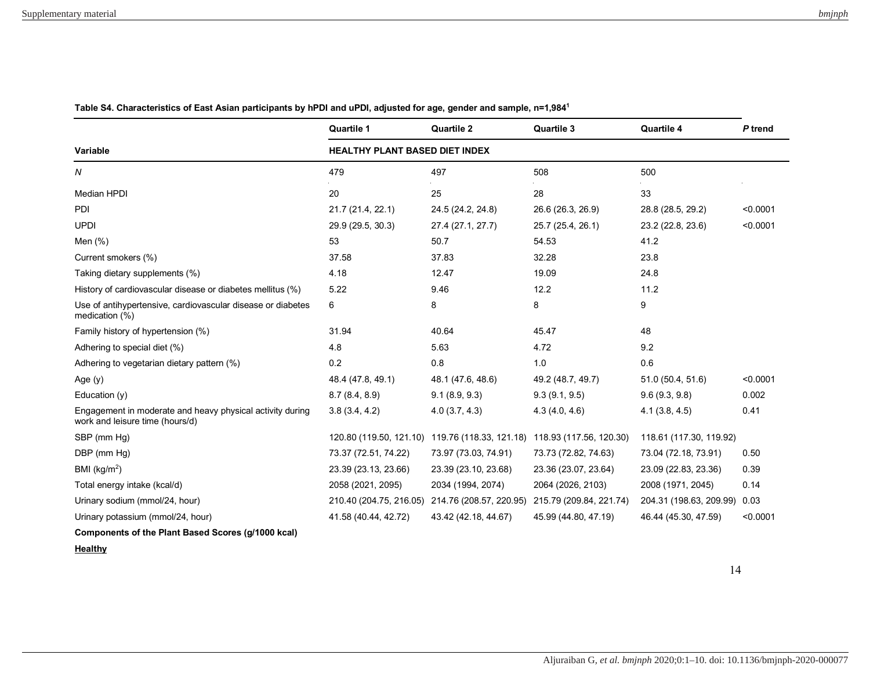|                                                                                              | Quartile 1                            | <b>Quartile 2</b>                                                       | Quartile 3              | Quartile 4              | P trend  |  |
|----------------------------------------------------------------------------------------------|---------------------------------------|-------------------------------------------------------------------------|-------------------------|-------------------------|----------|--|
| <b>Variable</b>                                                                              | <b>HEALTHY PLANT BASED DIET INDEX</b> |                                                                         |                         |                         |          |  |
| N                                                                                            | 479                                   | 497                                                                     | 508                     | 500                     |          |  |
| <b>Median HPDI</b>                                                                           | 20                                    | 25                                                                      | 28                      | 33                      |          |  |
| PDI                                                                                          | 21.7 (21.4, 22.1)                     | 24.5 (24.2, 24.8)                                                       | 26.6 (26.3, 26.9)       | 28.8 (28.5, 29.2)       | < 0.0001 |  |
| <b>UPDI</b>                                                                                  | 29.9 (29.5, 30.3)                     | 27.4 (27.1, 27.7)                                                       | 25.7 (25.4, 26.1)       | 23.2 (22.8, 23.6)       | < 0.0001 |  |
| Men (%)                                                                                      | 53                                    | 50.7                                                                    | 54.53                   | 41.2                    |          |  |
| Current smokers (%)                                                                          | 37.58                                 | 37.83                                                                   | 32.28                   | 23.8                    |          |  |
| Taking dietary supplements (%)                                                               | 4.18                                  | 12.47                                                                   | 19.09                   | 24.8                    |          |  |
| History of cardiovascular disease or diabetes mellitus (%)                                   | 5.22                                  | 9.46                                                                    | 12.2                    | 11.2                    |          |  |
| Use of antihypertensive, cardiovascular disease or diabetes<br>medication (%)                | 6                                     | 8                                                                       | 8                       | 9                       |          |  |
| Family history of hypertension (%)                                                           | 31.94                                 | 40.64                                                                   | 45.47                   | 48                      |          |  |
| Adhering to special diet (%)                                                                 | 4.8                                   | 5.63                                                                    | 4.72                    | 9.2                     |          |  |
| Adhering to vegetarian dietary pattern (%)                                                   | 0.2                                   | 0.8                                                                     | 1.0                     | 0.6                     |          |  |
| Age (y)                                                                                      | 48.4 (47.8, 49.1)                     | 48.1 (47.6, 48.6)                                                       | 49.2 (48.7, 49.7)       | 51.0 (50.4, 51.6)       | < 0.0001 |  |
| Education (y)                                                                                | 8.7(8.4, 8.9)                         | 9.1(8.9, 9.3)                                                           | 9.3(9.1, 9.5)           | 9.6(9.3, 9.8)           | 0.002    |  |
| Engagement in moderate and heavy physical activity during<br>work and leisure time (hours/d) | 3.8(3.4, 4.2)                         | 4.0(3.7, 4.3)                                                           | 4.3(4.0, 4.6)           | 4.1(3.8, 4.5)           | 0.41     |  |
| SBP (mm Hg)                                                                                  |                                       | 120.80 (119.50, 121.10) 119.76 (118.33, 121.18) 118.93 (117.56, 120.30) |                         | 118.61 (117.30, 119.92) |          |  |
| DBP (mm Hg)                                                                                  | 73.37 (72.51, 74.22)                  | 73.97 (73.03, 74.91)                                                    | 73.73 (72.82, 74.63)    | 73.04 (72.18, 73.91)    | 0.50     |  |
| BMI ( $kg/m2$ )                                                                              | 23.39 (23.13, 23.66)                  | 23.39 (23.10, 23.68)                                                    | 23.36 (23.07, 23.64)    | 23.09 (22.83, 23.36)    | 0.39     |  |
| Total energy intake (kcal/d)                                                                 | 2058 (2021, 2095)                     | 2034 (1994, 2074)                                                       | 2064 (2026, 2103)       | 2008 (1971, 2045)       | 0.14     |  |
| Urinary sodium (mmol/24, hour)                                                               | 210.40 (204.75, 216.05)               | 214.76 (208.57, 220.95)                                                 | 215.79 (209.84, 221.74) | 204.31 (198.63, 209.99) | 0.03     |  |
| Urinary potassium (mmol/24, hour)                                                            | 41.58 (40.44, 42.72)                  | 43.42 (42.18, 44.67)                                                    | 45.99 (44.80, 47.19)    | 46.44 (45.30, 47.59)    | < 0.0001 |  |
| Components of the Plant Based Scores (g/1000 kcal)                                           |                                       |                                                                         |                         |                         |          |  |

**Table S4. Characteristics of East Asian participants by hPDI and uPDI, adjusted for age, gender and sample, n=1,984<sup>1</sup>**

**Healthy**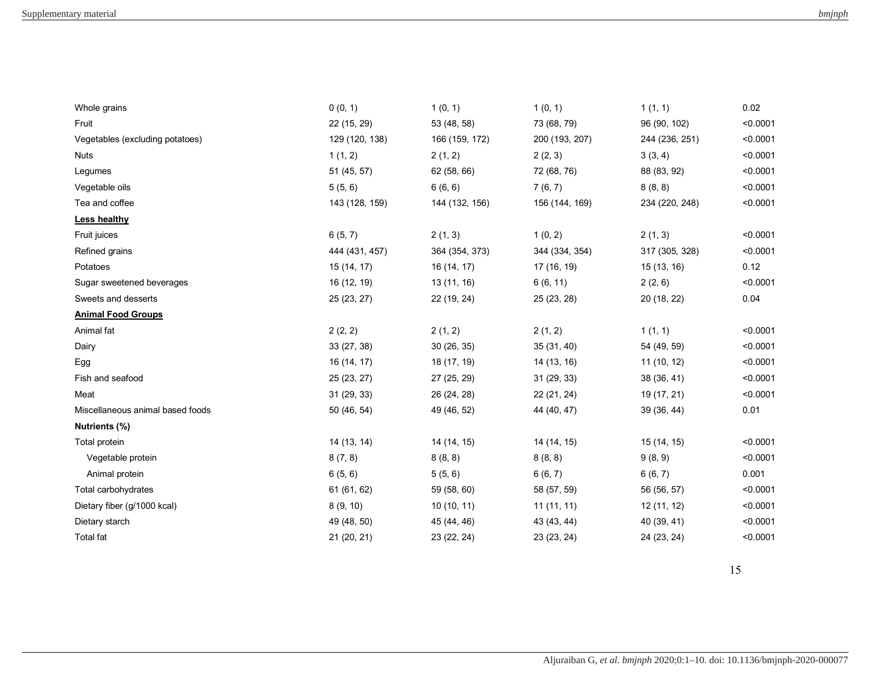| Whole grains                     | 0(0, 1)        | 1(0, 1)        | 1(0, 1)        | 1(1, 1)        | 0.02     |
|----------------------------------|----------------|----------------|----------------|----------------|----------|
| Fruit                            | 22 (15, 29)    | 53 (48, 58)    | 73 (68, 79)    | 96 (90, 102)   | < 0.0001 |
| Vegetables (excluding potatoes)  | 129 (120, 138) | 166 (159, 172) | 200 (193, 207) | 244 (236, 251) | < 0.0001 |
| <b>Nuts</b>                      | 1(1, 2)        | 2(1, 2)        | 2(2, 3)        | 3(3, 4)        | < 0.0001 |
| Legumes                          | 51 (45, 57)    | 62 (58, 66)    | 72 (68, 76)    | 88 (83, 92)    | < 0.0001 |
| Vegetable oils                   | 5(5, 6)        | 6(6, 6)        | 7(6, 7)        | 8(8, 8)        | < 0.0001 |
| Tea and coffee                   | 143 (128, 159) | 144 (132, 156) | 156 (144, 169) | 234 (220, 248) | < 0.0001 |
| Less healthy                     |                |                |                |                |          |
| Fruit juices                     | 6(5, 7)        | 2(1, 3)        | 1(0, 2)        | 2(1, 3)        | < 0.0001 |
| Refined grains                   | 444 (431, 457) | 364 (354, 373) | 344 (334, 354) | 317 (305, 328) | < 0.0001 |
| Potatoes                         | 15 (14, 17)    | 16 (14, 17)    | 17 (16, 19)    | 15 (13, 16)    | 0.12     |
| Sugar sweetened beverages        | 16 (12, 19)    | 13 (11, 16)    | 6(6, 11)       | 2(2, 6)        | < 0.0001 |
| Sweets and desserts              | 25 (23, 27)    | 22 (19, 24)    | 25 (23, 28)    | 20 (18, 22)    | 0.04     |
| <b>Animal Food Groups</b>        |                |                |                |                |          |
| Animal fat                       | 2(2, 2)        | 2(1, 2)        | 2(1, 2)        | 1(1, 1)        | < 0.0001 |
| Dairy                            | 33 (27, 38)    | 30 (26, 35)    | 35 (31, 40)    | 54 (49, 59)    | < 0.0001 |
| Egg                              | 16 (14, 17)    | 18 (17, 19)    | 14 (13, 16)    | 11(10, 12)     | < 0.0001 |
| Fish and seafood                 | 25 (23, 27)    | 27 (25, 29)    | 31 (29, 33)    | 38 (36, 41)    | < 0.0001 |
| Meat                             | 31 (29, 33)    | 26 (24, 28)    | 22 (21, 24)    | 19 (17, 21)    | < 0.0001 |
| Miscellaneous animal based foods | 50 (46, 54)    | 49 (46, 52)    | 44 (40, 47)    | 39 (36, 44)    | 0.01     |
| Nutrients (%)                    |                |                |                |                |          |
| Total protein                    | 14 (13, 14)    | 14 (14, 15)    | 14 (14, 15)    | 15 (14, 15)    | < 0.0001 |
| Vegetable protein                | 8(7, 8)        | 8(8, 8)        | 8(8, 8)        | 9(8, 9)        | < 0.0001 |
| Animal protein                   | 6(5, 6)        | 5(5, 6)        | 6(6, 7)        | 6(6, 7)        | 0.001    |
| Total carbohydrates              | 61 (61, 62)    | 59 (58, 60)    | 58 (57, 59)    | 56 (56, 57)    | < 0.0001 |
| Dietary fiber (g/1000 kcal)      | 8(9, 10)       | 10(10, 11)     | 11(11, 11)     | 12(11, 12)     | < 0.0001 |
| Dietary starch                   | 49 (48, 50)    | 45 (44, 46)    | 43 (43, 44)    | 40 (39, 41)    | < 0.0001 |
| <b>Total fat</b>                 | 21 (20, 21)    | 23 (22, 24)    | 23 (23, 24)    | 24 (23, 24)    | < 0.0001 |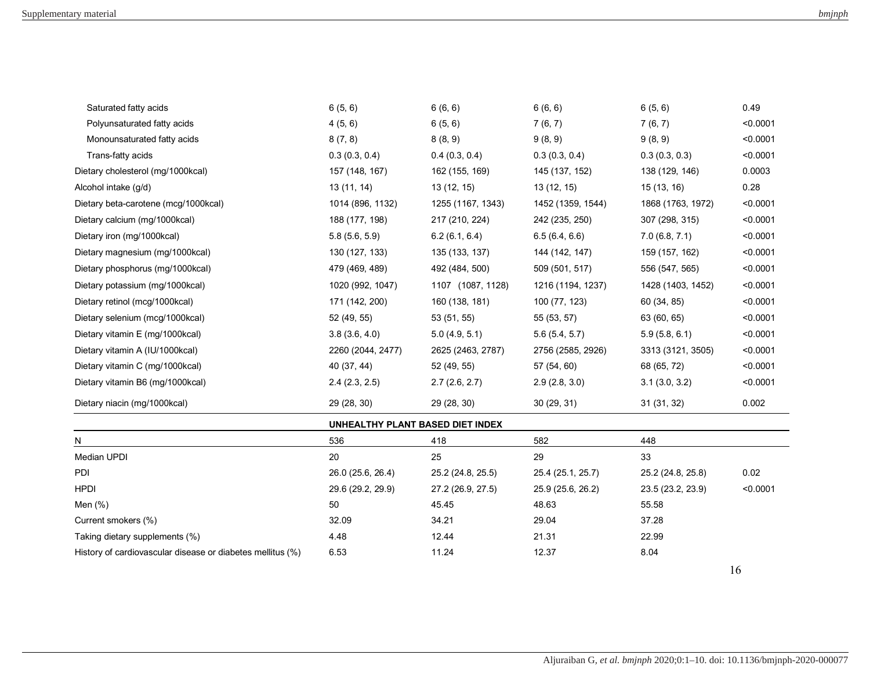| Dietary vitamin A (IU/1000kcal)<br>Dietary vitamin C (mg/1000kcal)<br>Dietary vitamin B6 (mg/1000kcal)<br>Dietary niacin (mg/1000kcal) | 171 (142, 200)<br>52 (49, 55)<br>3.8(3.6, 4.0)<br>2260 (2044, 2477)<br>40 (37, 44)<br>2.4(2.3, 2.5)<br>29 (28, 30) | 53 (51, 55)<br>5.0(4.9, 5.1)<br>2625 (2463, 2787)<br>52 (49, 55)<br>2.7(2.6, 2.7)<br>29 (28, 30) | 55 (53, 57)<br>5.6(5.4, 5.7)<br>2756 (2585, 2926)<br>57 (54, 60)<br>2.9(2.8, 3.0)<br>30(29, 31) | 60(34, 85)<br>63 (60, 65)<br>5.9(5.8, 6.1)<br>3313 (3121, 3505)<br>68 (65, 72)<br>3.1(3.0, 3.2)<br>31(31, 32) | < 0.0001<br>< 0.0001<br>< 0.0001<br>< 0.0001<br>< 0.0001<br>0.002 |
|----------------------------------------------------------------------------------------------------------------------------------------|--------------------------------------------------------------------------------------------------------------------|--------------------------------------------------------------------------------------------------|-------------------------------------------------------------------------------------------------|---------------------------------------------------------------------------------------------------------------|-------------------------------------------------------------------|
|                                                                                                                                        |                                                                                                                    |                                                                                                  |                                                                                                 |                                                                                                               |                                                                   |
|                                                                                                                                        |                                                                                                                    |                                                                                                  |                                                                                                 |                                                                                                               |                                                                   |
|                                                                                                                                        |                                                                                                                    |                                                                                                  |                                                                                                 |                                                                                                               |                                                                   |
|                                                                                                                                        |                                                                                                                    |                                                                                                  |                                                                                                 |                                                                                                               |                                                                   |
| Dietary vitamin E (mg/1000kcal)                                                                                                        |                                                                                                                    |                                                                                                  |                                                                                                 |                                                                                                               |                                                                   |
| Dietary selenium (mcg/1000kcal)                                                                                                        |                                                                                                                    |                                                                                                  |                                                                                                 |                                                                                                               |                                                                   |
| Dietary retinol (mcg/1000kcal)                                                                                                         |                                                                                                                    | 160 (138, 181)                                                                                   | 100 (77, 123)                                                                                   |                                                                                                               | < 0.0001                                                          |
| Dietary potassium (mg/1000kcal)                                                                                                        | 1020 (992, 1047)                                                                                                   | 1107 (1087, 1128)                                                                                | 1216 (1194, 1237)                                                                               | 1428 (1403, 1452)                                                                                             | < 0.0001                                                          |
| Dietary phosphorus (mg/1000kcal)                                                                                                       | 479 (469, 489)                                                                                                     | 492 (484, 500)                                                                                   | 509 (501, 517)                                                                                  | 556 (547, 565)                                                                                                | < 0.0001                                                          |
| Dietary magnesium (mg/1000kcal)                                                                                                        | 130 (127, 133)                                                                                                     | 135 (133, 137)                                                                                   | 144 (142, 147)                                                                                  | 159 (157, 162)                                                                                                | < 0.0001                                                          |
| Dietary iron (mg/1000kcal)                                                                                                             | 5.8(5.6, 5.9)                                                                                                      | 6.2(6.1, 6.4)                                                                                    | 6.5(6.4, 6.6)                                                                                   | 7.0(6.8, 7.1)                                                                                                 | < 0.0001                                                          |
| Dietary calcium (mg/1000kcal)                                                                                                          | 188 (177, 198)                                                                                                     | 217 (210, 224)                                                                                   | 242 (235, 250)                                                                                  | 307 (298, 315)                                                                                                | < 0.0001                                                          |
| Dietary beta-carotene (mcg/1000kcal)                                                                                                   | 1014 (896, 1132)                                                                                                   | 1255 (1167, 1343)                                                                                | 1452 (1359, 1544)                                                                               | 1868 (1763, 1972)                                                                                             | < 0.0001                                                          |
| Alcohol intake (g/d)                                                                                                                   | 13 (11, 14)                                                                                                        | 13 (12, 15)                                                                                      | 13(12, 15)                                                                                      | 15 (13, 16)                                                                                                   | 0.28                                                              |
| Dietary cholesterol (mg/1000kcal)                                                                                                      | 157 (148, 167)                                                                                                     | 162 (155, 169)                                                                                   | 145 (137, 152)                                                                                  | 138 (129, 146)                                                                                                | 0.0003                                                            |
| Trans-fatty acids                                                                                                                      | 0.3(0.3, 0.4)                                                                                                      | 0.4(0.3, 0.4)                                                                                    | 0.3(0.3, 0.4)                                                                                   | 0.3(0.3, 0.3)                                                                                                 | < 0.0001                                                          |
| Monounsaturated fatty acids                                                                                                            | 8(7, 8)                                                                                                            | 8(8, 9)                                                                                          | 9(8, 9)                                                                                         | 9(8, 9)                                                                                                       | < 0.0001                                                          |
| Polyunsaturated fatty acids                                                                                                            | 4(5, 6)                                                                                                            | 6(5, 6)                                                                                          | 7(6, 7)                                                                                         | 7(6, 7)                                                                                                       | < 0.0001                                                          |
| Saturated fatty acids                                                                                                                  | 6(5, 6)                                                                                                            | 6(6, 6)                                                                                          | 6(6, 6)                                                                                         | 6(5, 6)                                                                                                       | 0.49                                                              |

| UNHEALTHY PLANT BASED DIET INDEX |  |  |  |
|----------------------------------|--|--|--|
|----------------------------------|--|--|--|

| N                                                          | 536               | 418               | 582               | 448                           |  |
|------------------------------------------------------------|-------------------|-------------------|-------------------|-------------------------------|--|
| Median UPDI                                                | 20                | 25                | 29                | 33                            |  |
| <b>PDI</b>                                                 | 26.0 (25.6, 26.4) | 25.2 (24.8, 25.5) | 25.4 (25.1, 25.7) | 0.02<br>25.2 (24.8, 25.8)     |  |
| <b>HPDI</b>                                                | 29.6 (29.2, 29.9) | 27.2 (26.9, 27.5) | 25.9 (25.6, 26.2) | < 0.0001<br>23.5 (23.2, 23.9) |  |
| Men (%)                                                    | 50                | 45.45             | 48.63             | 55.58                         |  |
| Current smokers (%)                                        | 32.09             | 34.21             | 29.04             | 37.28                         |  |
| Taking dietary supplements (%)                             | 4.48              | 12.44             | 21.31             | 22.99                         |  |
| History of cardiovascular disease or diabetes mellitus (%) | 6.53              | 11.24             | 12.37             | 8.04                          |  |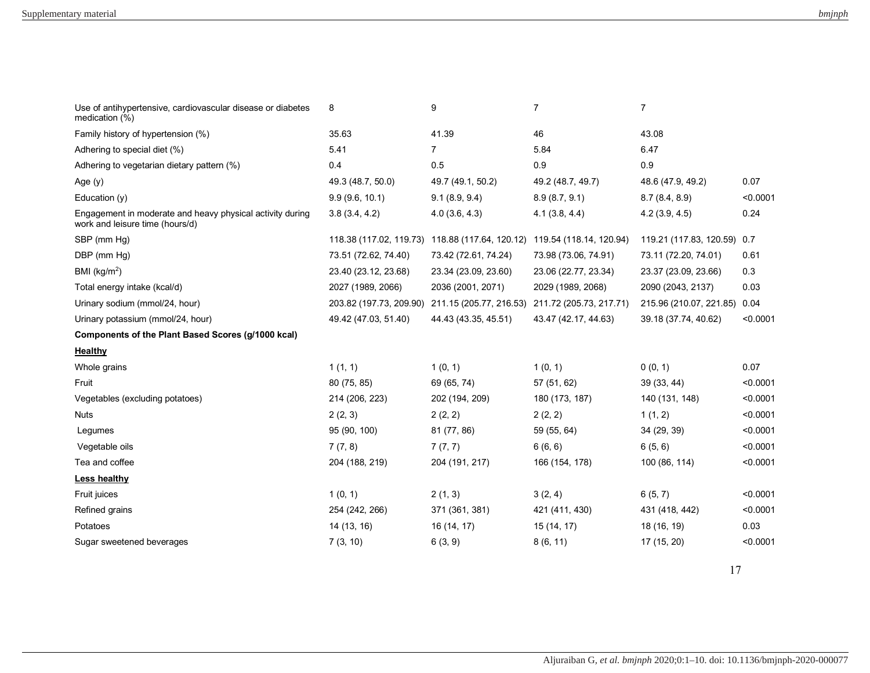| Use of antihypertensive, cardiovascular disease or diabetes<br>medication (%)                | 8                    | 9                                                                       | $\overline{7}$          | $\overline{7}$               |          |
|----------------------------------------------------------------------------------------------|----------------------|-------------------------------------------------------------------------|-------------------------|------------------------------|----------|
| Family history of hypertension (%)                                                           | 35.63                | 41.39                                                                   | 46                      | 43.08                        |          |
| Adhering to special diet (%)                                                                 | 5.41                 | $\overline{7}$                                                          | 5.84                    | 6.47                         |          |
| Adhering to vegetarian dietary pattern (%)                                                   | 0.4                  | 0.5                                                                     | 0.9                     | 0.9                          |          |
| Age $(y)$                                                                                    | 49.3 (48.7, 50.0)    | 49.7 (49.1, 50.2)                                                       | 49.2 (48.7, 49.7)       | 48.6 (47.9, 49.2)            | 0.07     |
| Education $(y)$                                                                              | 9.9(9.6, 10.1)       | 9.1(8.9, 9.4)                                                           | 8.9(8.7, 9.1)           | 8.7(8.4, 8.9)                | < 0.0001 |
| Engagement in moderate and heavy physical activity during<br>work and leisure time (hours/d) | 3.8(3.4, 4.2)        | 4.0(3.6, 4.3)                                                           | 4.1(3.8, 4.4)           | 4.2(3.9, 4.5)                | 0.24     |
| SBP (mm Hg)                                                                                  |                      | 118.38 (117.02, 119.73) 118.88 (117.64, 120.12) 119.54 (118.14, 120.94) |                         | 119.21 (117.83, 120.59) 0.7  |          |
| DBP (mm Hg)                                                                                  | 73.51 (72.62, 74.40) | 73.42 (72.61, 74.24)                                                    | 73.98 (73.06, 74.91)    | 73.11 (72.20, 74.01)         | 0.61     |
| BMI ( $kg/m2$ )                                                                              | 23.40 (23.12, 23.68) | 23.34 (23.09, 23.60)                                                    | 23.06 (22.77, 23.34)    | 23.37 (23.09, 23.66)         | 0.3      |
| Total energy intake (kcal/d)                                                                 | 2027 (1989, 2066)    | 2036 (2001, 2071)                                                       | 2029 (1989, 2068)       | 2090 (2043, 2137)            | 0.03     |
| Urinary sodium (mmol/24, hour)                                                               |                      | 203.82 (197.73, 209.90) 211.15 (205.77, 216.53)                         | 211.72 (205.73, 217.71) | 215.96 (210.07, 221.85) 0.04 |          |
| Urinary potassium (mmol/24, hour)                                                            | 49.42 (47.03, 51.40) | 44.43 (43.35, 45.51)                                                    | 43.47 (42.17, 44.63)    | 39.18 (37.74, 40.62)         | < 0.0001 |
| Components of the Plant Based Scores (g/1000 kcal)                                           |                      |                                                                         |                         |                              |          |
| <b>Healthy</b>                                                                               |                      |                                                                         |                         |                              |          |
| Whole grains                                                                                 | 1(1, 1)              | 1(0, 1)                                                                 | 1(0, 1)                 | 0(0, 1)                      | 0.07     |
| Fruit                                                                                        | 80 (75, 85)          | 69 (65, 74)                                                             | 57 (51, 62)             | 39 (33, 44)                  | < 0.0001 |
| Vegetables (excluding potatoes)                                                              | 214 (206, 223)       | 202 (194, 209)                                                          | 180 (173, 187)          | 140 (131, 148)               | < 0.0001 |
| <b>Nuts</b>                                                                                  | 2(2, 3)              | 2(2, 2)                                                                 | 2(2, 2)                 | 1(1, 2)                      | < 0.0001 |
| Legumes                                                                                      | 95 (90, 100)         | 81 (77, 86)                                                             | 59 (55, 64)             | 34 (29, 39)                  | < 0.0001 |
| Vegetable oils                                                                               | 7(7, 8)              | 7(7, 7)                                                                 | 6(6, 6)                 | 6(5, 6)                      | < 0.0001 |
| Tea and coffee                                                                               | 204 (188, 219)       | 204 (191, 217)                                                          | 166 (154, 178)          | 100 (86, 114)                | < 0.0001 |
| Less healthy                                                                                 |                      |                                                                         |                         |                              |          |
| Fruit juices                                                                                 | 1(0, 1)              | 2(1, 3)                                                                 | 3(2, 4)                 | 6(5, 7)                      | < 0.0001 |
| Refined grains                                                                               | 254 (242, 266)       | 371 (361, 381)                                                          | 421 (411, 430)          | 431 (418, 442)               | < 0.0001 |
| Potatoes                                                                                     | 14 (13, 16)          | 16 (14, 17)                                                             | 15 (14, 17)             | 18 (16, 19)                  | 0.03     |
| Sugar sweetened beverages                                                                    | 7(3, 10)             | 6(3, 9)                                                                 | 8(6, 11)                | 17 (15, 20)                  | < 0.0001 |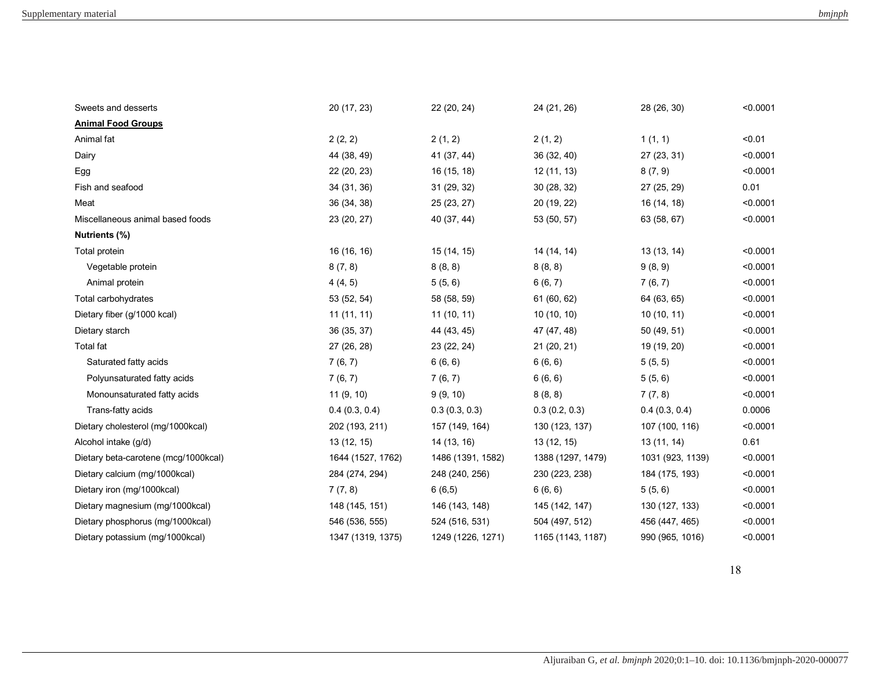| Sweets and desserts                  | 20 (17, 23)       | 22 (20, 24)       | 24 (21, 26)       | 28 (26, 30)      | < 0.0001 |
|--------------------------------------|-------------------|-------------------|-------------------|------------------|----------|
| <b>Animal Food Groups</b>            |                   |                   |                   |                  |          |
| Animal fat                           | 2(2, 2)           | 2(1, 2)           | 2(1, 2)           | 1(1, 1)          | < 0.01   |
| Dairy                                | 44 (38, 49)       | 41 (37, 44)       | 36(32, 40)        | 27 (23, 31)      | < 0.0001 |
| Egg                                  | 22 (20, 23)       | 16 (15, 18)       | 12 (11, 13)       | 8(7, 9)          | < 0.0001 |
| Fish and seafood                     | 34 (31, 36)       | 31 (29, 32)       | 30(28, 32)        | 27 (25, 29)      | 0.01     |
| Meat                                 | 36 (34, 38)       | 25 (23, 27)       | 20 (19, 22)       | 16 (14, 18)      | < 0.0001 |
| Miscellaneous animal based foods     | 23 (20, 27)       | 40 (37, 44)       | 53 (50, 57)       | 63 (58, 67)      | < 0.0001 |
| Nutrients (%)                        |                   |                   |                   |                  |          |
| Total protein                        | 16 (16, 16)       | 15 (14, 15)       | 14 (14, 14)       | 13 (13, 14)      | < 0.0001 |
| Vegetable protein                    | 8(7, 8)           | 8(8, 8)           | 8(8, 8)           | 9(8, 9)          | < 0.0001 |
| Animal protein                       | 4(4, 5)           | 5(5, 6)           | 6(6, 7)           | 7(6, 7)          | < 0.0001 |
| Total carbohydrates                  | 53 (52, 54)       | 58 (58, 59)       | 61 (60, 62)       | 64 (63, 65)      | < 0.0001 |
| Dietary fiber (g/1000 kcal)          | 11(11, 11)        | 11(10, 11)        | 10(10, 10)        | 10(10, 11)       | < 0.0001 |
| Dietary starch                       | 36 (35, 37)       | 44 (43, 45)       | 47 (47, 48)       | 50 (49, 51)      | < 0.0001 |
| Total fat                            | 27 (26, 28)       | 23 (22, 24)       | 21 (20, 21)       | 19 (19, 20)      | < 0.0001 |
| Saturated fatty acids                | 7(6, 7)           | 6(6, 6)           | 6(6, 6)           | 5(5, 5)          | < 0.0001 |
| Polyunsaturated fatty acids          | 7(6, 7)           | 7(6, 7)           | 6(6, 6)           | 5(5, 6)          | < 0.0001 |
| Monounsaturated fatty acids          | 11(9, 10)         | 9(9, 10)          | 8(8, 8)           | 7(7, 8)          | < 0.0001 |
| Trans-fatty acids                    | 0.4(0.3, 0.4)     | 0.3(0.3, 0.3)     | 0.3(0.2, 0.3)     | 0.4(0.3, 0.4)    | 0.0006   |
| Dietary cholesterol (mg/1000kcal)    | 202 (193, 211)    | 157 (149, 164)    | 130 (123, 137)    | 107 (100, 116)   | < 0.0001 |
| Alcohol intake (g/d)                 | 13 (12, 15)       | 14 (13, 16)       | 13(12, 15)        | 13(11, 14)       | 0.61     |
| Dietary beta-carotene (mcg/1000kcal) | 1644 (1527, 1762) | 1486 (1391, 1582) | 1388 (1297, 1479) | 1031 (923, 1139) | < 0.0001 |
| Dietary calcium (mg/1000kcal)        | 284 (274, 294)    | 248 (240, 256)    | 230 (223, 238)    | 184 (175, 193)   | < 0.0001 |
| Dietary iron (mg/1000kcal)           | 7(7, 8)           | 6(6,5)            | 6(6, 6)           | 5(5, 6)          | < 0.0001 |
| Dietary magnesium (mg/1000kcal)      | 148 (145, 151)    | 146 (143, 148)    | 145 (142, 147)    | 130 (127, 133)   | < 0.0001 |
| Dietary phosphorus (mg/1000kcal)     | 546 (536, 555)    | 524 (516, 531)    | 504 (497, 512)    | 456 (447, 465)   | < 0.0001 |
| Dietary potassium (mg/1000kcal)      | 1347 (1319, 1375) | 1249 (1226, 1271) | 1165 (1143, 1187) | 990 (965, 1016)  | < 0.0001 |